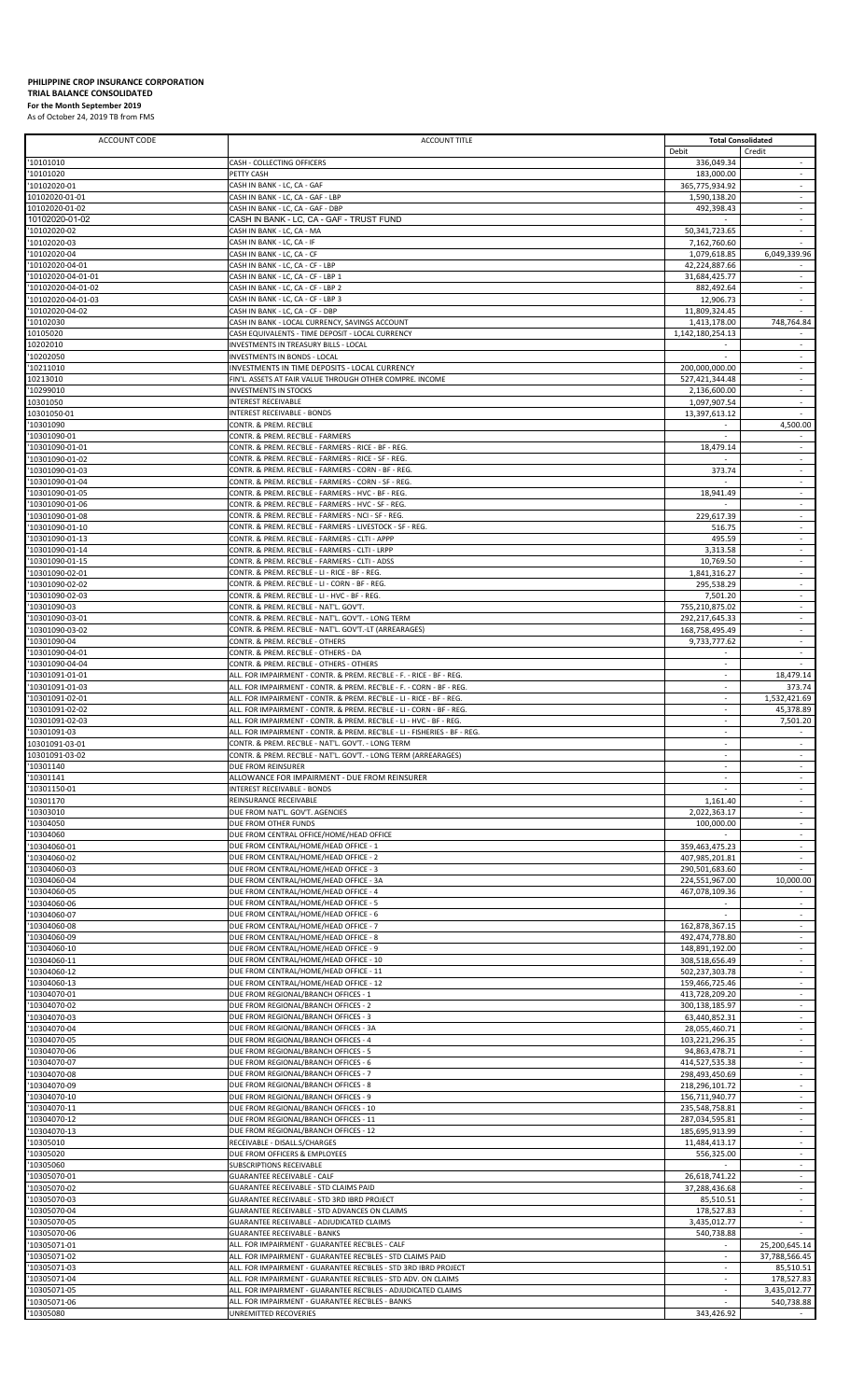## **PHILIPPINE CROP INSURANCE CORPORATION**

## **TRIAL BALANCE CONSOLIDATED For the Month September 2019**

As of October 24, 2019 TB from FMS

| <b>ACCOUNT CODE</b>               | <b>ACCOUNT TITLE</b>                                                                                                                         |                                  | <b>Total Consolidated</b>                            |
|-----------------------------------|----------------------------------------------------------------------------------------------------------------------------------------------|----------------------------------|------------------------------------------------------|
|                                   |                                                                                                                                              | Debit                            | Credit<br>$\overline{\phantom{a}}$                   |
| '10101010<br>'10101020            | CASH - COLLECTING OFFICERS<br>PETTY CASH                                                                                                     | 336,049.34<br>183,000.00         | $\sim$                                               |
| 10102020-01                       | CASH IN BANK - LC, CA - GAF                                                                                                                  | 365,775,934.92                   |                                                      |
| 10102020-01-01                    | CASH IN BANK - LC, CA - GAF - LBP                                                                                                            | 1,590,138.20                     | ÷                                                    |
| 10102020-01-02                    | CASH IN BANK - LC, CA - GAF - DBP                                                                                                            | 492,398.43                       | $\overline{\phantom{a}}$                             |
| 10102020-01-02                    | CASH IN BANK - LC, CA - GAF - TRUST FUND                                                                                                     |                                  | $\sim$                                               |
| '10102020-02                      | CASH IN BANK - LC, CA - MA                                                                                                                   | 50,341,723.65                    |                                                      |
| '10102020-03                      | CASH IN BANK - LC, CA - IF                                                                                                                   | 7,162,760.60                     | $\sim$                                               |
| '10102020-04<br>'10102020-04-01   | CASH IN BANK - LC, CA - CF                                                                                                                   | 1,079,618.85<br>42,224,887.66    | 6,049,339.96                                         |
| '10102020-04-01-01                | CASH IN BANK - LC, CA - CF - LBP<br>CASH IN BANK - LC, CA - CF - LBP 1                                                                       | 31,684,425.77                    | ÷                                                    |
| '10102020-04-01-02                | CASH IN BANK - LC. CA - CF - LBP 2                                                                                                           | 882.492.64                       | ÷                                                    |
| '10102020-04-01-03                | CASH IN BANK - LC, CA - CF - LBP 3                                                                                                           | 12,906.73                        | $\sim$                                               |
| 10102020-04-02                    | CASH IN BANK - LC, CA - CF - DBP                                                                                                             | 11,809,324.45                    |                                                      |
| '10102030                         | CASH IN BANK - LOCAL CURRENCY, SAVINGS ACCOUNT                                                                                               | 1,413,178.00                     | 748,764.84                                           |
| 10105020                          | CASH EQUIVALENTS - TIME DEPOSIT - LOCAL CURRENCY                                                                                             | 1,142,180,254.13                 |                                                      |
| 10202010                          | INVESTMENTS IN TREASURY BILLS - LOCAL                                                                                                        |                                  | $\sim$                                               |
| '10202050                         | INVESTMENTS IN BONDS - LOCAL                                                                                                                 |                                  |                                                      |
| '10211010<br>10213010             | INVESTMENTS IN TIME DEPOSITS - LOCAL CURRENCY<br>FIN'L. ASSETS AT FAIR VALUE THROUGH OTHER COMPRE. INCOME                                    | 200,000,000.00<br>527,421,344.48 | ÷                                                    |
| '10299010                         | <b>INVESTMENTS IN STOCKS</b>                                                                                                                 | 2,136,600.00                     | $\sim$                                               |
| 10301050                          | <b>INTEREST RECEIVABLE</b>                                                                                                                   | 1,097,907.54                     |                                                      |
| 10301050-01                       | <b>INTEREST RECEIVABLE - BONDS</b>                                                                                                           | 13,397,613.12                    | $\sim$                                               |
| '10301090                         | CONTR. & PREM. REC'BLE                                                                                                                       |                                  | 4.500.00                                             |
| 10301090-01                       | CONTR. & PREM. REC'BLE - FARMERS                                                                                                             |                                  | $\overline{\phantom{a}}$                             |
| '10301090-01-01                   | CONTR. & PREM. REC'BLE - FARMERS - RICE - BF - REG.                                                                                          | 18,479.14                        | $\bar{a}$                                            |
| '10301090-01-02                   | CONTR. & PREM. REC'BLE - FARMERS - RICE - SF - REG.                                                                                          |                                  | ×                                                    |
| '10301090-01-03                   | CONTR. & PREM. REC'BLE - FARMERS - CORN - BF - REG<br>CONTR. & PREM. REC'BLE - FARMERS - CORN - SF - REG.                                    | 373.74                           | $\overline{\phantom{a}}$                             |
| 10301090-01-04<br>'10301090-01-05 | CONTR. & PREM. REC'BLE - FARMERS - HVC - BF - REG.                                                                                           |                                  | $\overline{\phantom{a}}$<br>$\sim$                   |
| '10301090-01-06                   | CONTR. & PREM. REC'BLE - FARMERS - HVC - SF - REG.                                                                                           | 18,941.49                        | ÷                                                    |
| '10301090-01-08                   | CONTR. & PREM. REC'BLE - FARMERS - NCI - SF - REG.                                                                                           | 229,617.39                       | $\sim$                                               |
| 10301090-01-10                    | CONTR. & PREM. REC'BLE - FARMERS - LIVESTOCK - SF - REG.                                                                                     | 516.75                           | $\blacksquare$                                       |
| '10301090-01-13                   | CONTR. & PREM. REC'BLE - FARMERS - CLTI - APPP                                                                                               | 495.59                           | ÷                                                    |
| '10301090-01-14                   | CONTR. & PREM. REC'BLE - FARMERS - CLTI - LRPP                                                                                               | 3,313.58                         | $\overline{\phantom{a}}$                             |
| '10301090-01-15                   | CONTR. & PREM. REC'BLE - FARMERS - CLTI - ADSS                                                                                               | 10,769.50                        | $\sim$                                               |
| 10301090-02-01                    | CONTR. & PREM. REC'BLE - LI - RICE - BF - REG                                                                                                | 1,841,316.27                     |                                                      |
| '10301090-02-02                   | CONTR. & PREM. REC'BLE - LI - CORN - BF - REG.<br>CONTR. & PREM. REC'BLE - LI - HVC - BF - REG.                                              | 295,538.29                       | ×<br>$\overline{\phantom{a}}$                        |
| '10301090-02-03<br>10301090-03    | CONTR. & PREM. REC'BLE - NAT'L. GOV'T.                                                                                                       | 7,501.20<br>755,210,875.02       | $\overline{\phantom{a}}$                             |
| '10301090-03-01                   | CONTR. & PREM. REC'BLE - NAT'L. GOV'T. - LONG TERM                                                                                           | 292,217,645.33                   | $\sim$                                               |
| '10301090-03-02                   | CONTR. & PREM. REC'BLE - NAT'L. GOV'T.-LT (ARREARAGES)                                                                                       | 168,758,495.49                   | ÷                                                    |
| '10301090-04                      | CONTR. & PREM. REC'BLE - OTHERS                                                                                                              | 9,733,777.62                     | $\sim$                                               |
| 10301090-04-01                    | CONTR. & PREM. REC'BLE - OTHERS - DA                                                                                                         |                                  | $\sim$                                               |
| '10301090-04-04                   | CONTR. & PREM. REC'BLE - OTHERS - OTHERS                                                                                                     |                                  |                                                      |
| '10301091-01-01                   | ALL. FOR IMPAIRMENT - CONTR. & PREM. REC'BLE - F. - RICE - BF - REG.                                                                         | $\sim$                           | 18,479.14                                            |
| '10301091-01-03                   | ALL. FOR IMPAIRMENT - CONTR. & PREM. REC'BLE - F. - CORN - BF - REG.                                                                         | $\sim$                           | 373.74<br>1,532,421.69                               |
| 10301091-02-01<br>'10301091-02-02 | ALL. FOR IMPAIRMENT - CONTR. & PREM. REC'BLE - LI - RICE - BF - REG.<br>ALL. FOR IMPAIRMENT - CONTR. & PREM. REC'BLE - LI - CORN - BF - REG. | $\sim$                           | 45,378.89                                            |
| '10301091-02-03                   | ALL. FOR IMPAIRMENT - CONTR. & PREM. REC'BLE - LI - HVC - BF - REG.                                                                          |                                  | 7,501.20                                             |
| '10301091-03                      | ALL. FOR IMPAIRMENT - CONTR. & PREM. REC'BLE - LI - FISHERIES - BF - REG.                                                                    | $\sim$                           |                                                      |
| 10301091-03-01                    | CONTR. & PREM. REC'BLE - NAT'L. GOV'T. - LONG TERM                                                                                           |                                  |                                                      |
| 10301091-03-02                    | CONTR. & PREM. REC'BLE - NAT'L. GOV'T. - LONG TERM (ARREARAGES)                                                                              | $\sim$                           | ÷.                                                   |
| '10301140                         | DUE FROM REINSURER                                                                                                                           | $\overline{\phantom{a}}$         |                                                      |
| '10301141                         | ALLOWANCE FOR IMPAIRMENT - DUE FROM REINSURER                                                                                                | $\sim$                           | $\overline{\phantom{a}}$                             |
| '10301150-01                      | <b>INTEREST RECEIVABLE - BONDS</b>                                                                                                           |                                  | $\sim$                                               |
| '10301170<br>'10303010            | REINSURANCE RECEIVABLE                                                                                                                       | 1,161.40<br>2,022,363.17         | $\overline{\phantom{a}}$<br>$\overline{\phantom{a}}$ |
| '10304050                         | DUE FROM NAT'L. GOV'T. AGENCIES<br>DUE FROM OTHER FUNDS                                                                                      | 100,000.00                       | $\sim$                                               |
| '10304060                         | DUE FROM CENTRAL OFFICE/HOME/HEAD OFFICE                                                                                                     |                                  | ÷                                                    |
| '10304060-01                      | DUE FROM CENTRAL/HOME/HEAD OFFICE - 1                                                                                                        | 359,463,475.23                   | ÷                                                    |
| '10304060-02                      | DUE FROM CENTRAL/HOME/HEAD OFFICE - 2                                                                                                        | 407,985,201.81                   | $\overline{\phantom{a}}$                             |
| 10304060-03                       | DUE FROM CENTRAL/HOME/HEAD OFFICE - 3                                                                                                        | 290.501.683.60                   |                                                      |
| '10304060-04                      | DUE FROM CENTRAL/HOME/HEAD OFFICE - 3A                                                                                                       | 224,551,967.00                   | 10,000.00                                            |
| '10304060-05                      | DUE FROM CENTRAL/HOME/HEAD OFFICE - 4                                                                                                        | 467,078,109.36                   |                                                      |
| '10304060-06                      | DUE FROM CENTRAL/HOME/HEAD OFFICE - 5                                                                                                        |                                  | $\sim$                                               |
| '10304060-07<br>'10304060-08      | DUE FROM CENTRAL/HOME/HEAD OFFICE - 6<br>DUE FROM CENTRAL/HOME/HEAD OFFICE - 7                                                               | 162,878,367.15                   | ÷                                                    |
| '10304060-09                      | DUE FROM CENTRAL/HOME/HEAD OFFICE - 8                                                                                                        | 492,474,778.80                   | $\overline{\phantom{a}}$                             |
| '10304060-10                      | DUE FROM CENTRAL/HOME/HEAD OFFICE - 9                                                                                                        | 148,891,192.00                   | $\sim$                                               |
| '10304060-11                      | DUE FROM CENTRAL/HOME/HEAD OFFICE - 10                                                                                                       | 308,518,656.49                   | $\sim$                                               |
| '10304060-12                      | DUE FROM CENTRAL/HOME/HEAD OFFICE - 11                                                                                                       | 502,237,303.78                   | $\overline{\phantom{a}}$                             |
| '10304060-13                      | DUE FROM CENTRAL/HOME/HEAD OFFICE - 12                                                                                                       | 159,466,725.46                   | $\overline{\phantom{a}}$                             |
| 10304070-01                       | DUE FROM REGIONAL/BRANCH OFFICES - 1                                                                                                         | 413,728,209.20                   | $\sim$                                               |
| '10304070-02                      | DUE FROM REGIONAL/BRANCH OFFICES - 2                                                                                                         | 300,138,185.97                   | $\omega$                                             |
| '10304070-03<br>'10304070-04      | DUE FROM REGIONAL/BRANCH OFFICES - 3<br>DUE FROM REGIONAL/BRANCH OFFICES - 3A                                                                | 63,440,852.31<br>28,055,460.71   | $\overline{\phantom{a}}$<br>$\overline{\phantom{a}}$ |
| '10304070-05                      | DUE FROM REGIONAL/BRANCH OFFICES - 4                                                                                                         | 103,221,296.35                   | $\sim$                                               |
| '10304070-06                      | DUE FROM REGIONAL/BRANCH OFFICES - 5                                                                                                         | 94,863,478.71                    | ÷                                                    |
| '10304070-07                      | DUE FROM REGIONAL/BRANCH OFFICES - 6                                                                                                         | 414,527,535.38                   | $\overline{\phantom{a}}$                             |
| '10304070-08                      | DUE FROM REGIONAL/BRANCH OFFICES - 7                                                                                                         | 298,493,450.69                   | $\sim$                                               |
| '10304070-09                      | DUE FROM REGIONAL/BRANCH OFFICES - 8                                                                                                         | 218,296,101.72                   |                                                      |
| '10304070-10                      | DUE FROM REGIONAL/BRANCH OFFICES - 9                                                                                                         | 156,711,940.77                   | ÷                                                    |
| '10304070-11                      | DUE FROM REGIONAL/BRANCH OFFICES - 10                                                                                                        | 235,548,758.81                   | $\overline{\phantom{a}}$                             |
| 10304070-12<br>'10304070-13       | DUE FROM REGIONAL/BRANCH OFFICES - 11<br>DUE FROM REGIONAL/BRANCH OFFICES - 12                                                               | 287,034,595.81<br>185,695,913.99 | $\sim$<br>$\overline{\phantom{a}}$                   |
| '10305010                         | RECEIVABLE - DISALL.S/CHARGES                                                                                                                | 11,484,413.17                    | $\sim$                                               |
| '10305020                         | DUE FROM OFFICERS & EMPLOYEES                                                                                                                | 556,325.00                       | $\sim$                                               |
| 10305060                          | SUBSCRIPTIONS RECEIVABLE                                                                                                                     |                                  | $\sim$                                               |
| '10305070-01                      | <b>GUARANTEE RECEIVABLE - CALF</b>                                                                                                           | 26,618,741.22                    | $\omega$                                             |
| '10305070-02                      | GUARANTEE RECEIVABLE - STD CLAIMS PAID                                                                                                       | 37,288,436.68                    | ÷                                                    |
| '10305070-03                      | GUARANTEE RECEIVABLE - STD 3RD IBRD PROJECT                                                                                                  | 85,510.51                        | $\overline{\phantom{a}}$                             |
| 10305070-04                       | GUARANTEE RECEIVABLE - STD ADVANCES ON CLAIMS                                                                                                | 178.527.83                       | $\sim$<br>÷                                          |
| '10305070-05<br>'10305070-06      | GUARANTEE RECEIVABLE - ADJUDICATED CLAIMS<br><b>GUARANTEE RECEIVABLE - BANKS</b>                                                             | 3,435,012.77<br>540,738.88       | $\sim$                                               |
| 10305071-01                       | ALL. FOR IMPAIRMENT - GUARANTEE REC'BLES - CALF                                                                                              | $\overline{\phantom{a}}$         | 25,200,645.14                                        |
| '10305071-02                      | ALL. FOR IMPAIRMENT - GUARANTEE REC'BLES - STD CLAIMS PAID                                                                                   |                                  | 37,788,566.45                                        |
| '10305071-03                      | ALL. FOR IMPAIRMENT - GUARANTEE REC'BLES - STD 3RD IBRD PROJECT                                                                              | $\sim$                           | 85,510.51                                            |
| '10305071-04                      | ALL. FOR IMPAIRMENT - GUARANTEE REC'BLES - STD ADV. ON CLAIMS                                                                                |                                  | 178,527.83                                           |
| 10305071-05                       | ALL. FOR IMPAIRMENT - GUARANTEE REC'BLES - ADJUDICATED CLAIMS                                                                                | $\sim$                           | 3,435,012.77                                         |
| 10305071-06                       | ALL. FOR IMPAIRMENT - GUARANTEE REC'BLES - BANKS                                                                                             |                                  | 540,738.88                                           |
| '10305080                         | UNREMITTED RECOVERIES                                                                                                                        | 343,426.92                       |                                                      |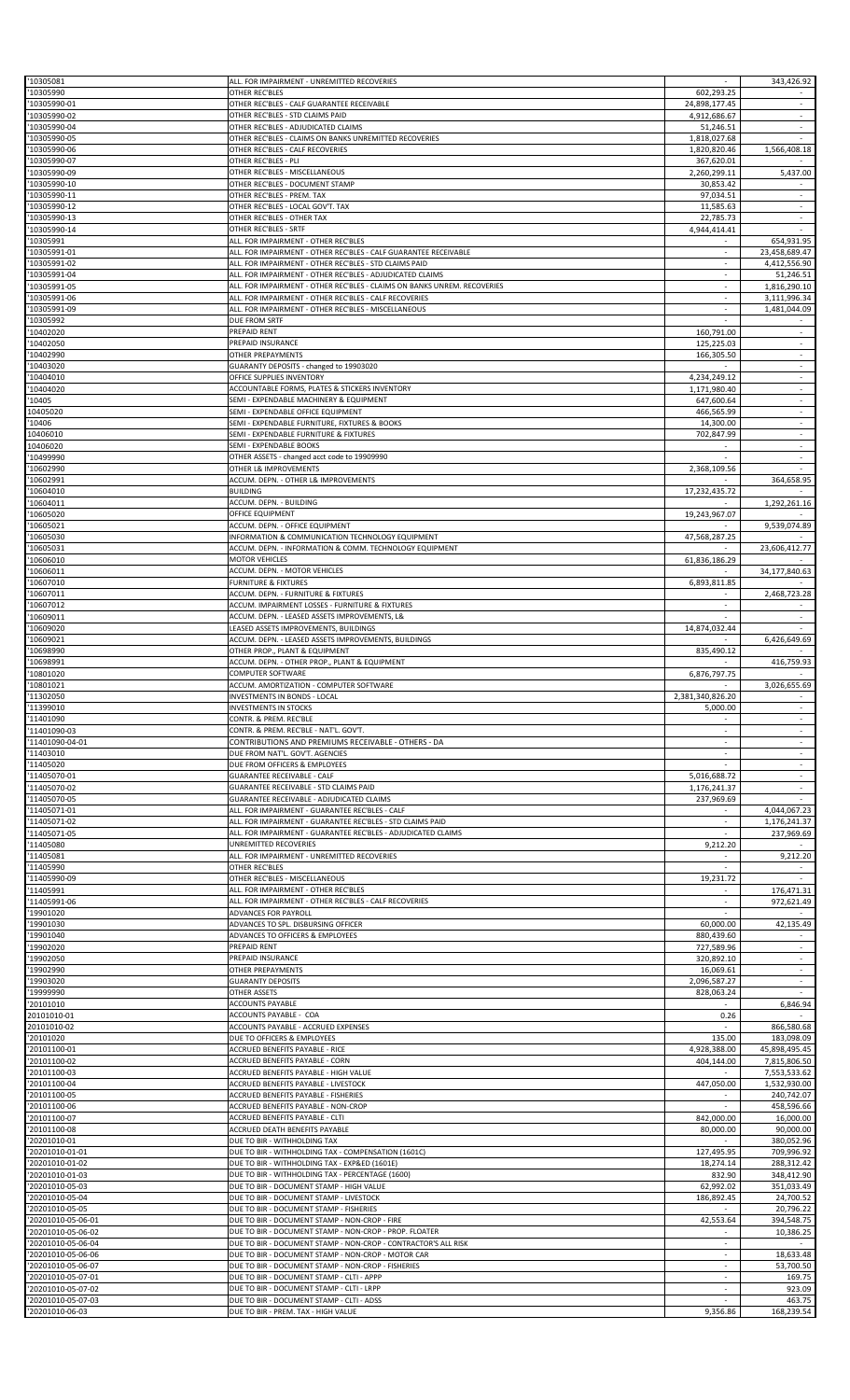| '10305081                          | ALL. FOR IMPAIRMENT - UNREMITTED RECOVERIES                              |                          | 343,426.92                         |
|------------------------------------|--------------------------------------------------------------------------|--------------------------|------------------------------------|
| '10305990                          | OTHER REC'BLES                                                           | 602,293.25               |                                    |
| '10305990-01                       | OTHER REC'BLES - CALF GUARANTEE RECEIVABLE                               | 24,898,177.45            | $\mathcal{L}$                      |
| '10305990-02                       | OTHER REC'BLES - STD CLAIMS PAID                                         | 4,912,686.67             | $\overline{\phantom{a}}$           |
| '10305990-04                       | OTHER REC'BLES - ADJUDICATED CLAIMS                                      | 51,246.51                | $\sim$                             |
| '10305990-05                       | OTHER REC'BLES - CLAIMS ON BANKS UNREMITTED RECOVERIES                   | 1,818,027.68             |                                    |
| '10305990-06                       | OTHER REC'BLES - CALF RECOVERIES                                         | 1,820,820.46             | 1,566,408.18                       |
| '10305990-07                       | OTHER REC'BLES - PLI                                                     | 367,620.01               |                                    |
| '10305990-09                       | OTHER REC'BLES - MISCELLANEOUS                                           | 2,260,299.11             | 5,437.00                           |
| '10305990-10                       | OTHER REC'BLES - DOCUMENT STAMP                                          | 30,853.42                |                                    |
| '10305990-11                       | OTHER REC'BLES - PREM. TAX                                               | 97,034.51                | $\sim$                             |
| '10305990-12                       | OTHER REC'BLES - LOCAL GOV'T. TAX                                        | 11,585.63                | $\overline{\phantom{a}}$           |
| '10305990-13                       | OTHER REC'BLES - OTHER TAX                                               | 22,785.73                | ÷                                  |
| '10305990-14                       | OTHER REC'BLES - SRTF                                                    | 4,944,414.41             |                                    |
| '10305991                          | ALL. FOR IMPAIRMENT - OTHER REC'BLES                                     |                          | 654,931.95                         |
| '10305991-01                       | ALL. FOR IMPAIRMENT - OTHER REC'BLES - CALF GUARANTEE RECEIVABLE         | $\sim$                   | 23,458,689.47                      |
| '10305991-02                       | ALL. FOR IMPAIRMENT - OTHER REC'BLES - STD CLAIMS PAID                   |                          | 4,412,556.90                       |
| '10305991-04                       | ALL. FOR IMPAIRMENT - OTHER REC'BLES - ADJUDICATED CLAIMS                | ÷.                       | 51,246.51                          |
| '10305991-05                       | ALL. FOR IMPAIRMENT - OTHER REC'BLES - CLAIMS ON BANKS UNREM. RECOVERIES |                          | 1,816,290.10                       |
| '10305991-06                       | ALL. FOR IMPAIRMENT - OTHER REC'BLES - CALF RECOVERIES                   | $\sim$                   | 3,111,996.34                       |
| '10305991-09                       | ALL. FOR IMPAIRMENT - OTHER REC'BLES - MISCELLANEOUS                     |                          | 1,481,044.09                       |
| '10305992                          | <b>DUE FROM SRTF</b>                                                     | ÷.                       |                                    |
| '10402020<br>'10402050             | PREPAID RENT<br>PREPAID INSURANCE                                        | 160,791.00<br>125.225.03 | $\sim$<br>$\overline{\phantom{a}}$ |
| '10402990                          | OTHER PREPAYMENTS                                                        | 166,305.50               | $\omega$                           |
| '10403020                          | GUARANTY DEPOSITS - changed to 19903020                                  |                          | $\overline{\phantom{a}}$           |
| '10404010                          | OFFICE SUPPLIES INVENTORY                                                | 4,234,249.12             | $\overline{\phantom{a}}$           |
| 10404020                           | ACCOUNTABLE FORMS, PLATES & STICKERS INVENTORY                           | 1.171.980.40             | $\overline{\phantom{a}}$           |
| '10405                             | SEMI - EXPENDABLE MACHINERY & EQUIPMENT                                  | 647,600.64               | $\omega$                           |
| 10405020                           | SEMI - EXPENDABLE OFFICE EQUIPMENT                                       | 466,565.99               | $\sim$                             |
| '10406                             | SEMI - EXPENDABLE FURNITURE, FIXTURES & BOOKS                            | 14,300.00                | $\sim$                             |
| 10406010                           | SEMI - EXPENDABLE FURNITURE & FIXTURES                                   | 702,847.99               |                                    |
| 10406020                           | SEMI - EXPENDABLE BOOKS                                                  |                          | $\mathcal{L}$                      |
| '10499990                          | OTHER ASSETS - changed acct code to 19909990                             |                          |                                    |
| '10602990                          | OTHER L& IMPROVEMENTS                                                    | 2,368,109.56             |                                    |
| '10602991                          | ACCUM. DEPN. - OTHER L& IMPROVEMENTS                                     |                          | 364,658.95                         |
| '10604010                          | <b>BUILDING</b>                                                          | 17,232,435.72            |                                    |
| '10604011                          | ACCUM. DEPN. - BUILDING                                                  |                          | 1,292,261.16                       |
| '10605020                          | OFFICE EQUIPMENT                                                         | 19,243,967.07            |                                    |
| '10605021                          | ACCUM. DEPN. - OFFICE EQUIPMENT                                          |                          | 9,539,074.89                       |
| '10605030                          | INFORMATION & COMMUNICATION TECHNOLOGY EQUIPMENT                         | 47,568,287.25            |                                    |
| '10605031                          | ACCUM. DEPN. - INFORMATION & COMM. TECHNOLOGY EQUIPMENT                  |                          | 23,606,412.77                      |
| '10606010                          | <b>MOTOR VEHICLES</b>                                                    | 61,836,186.29            |                                    |
| '10606011                          | ACCUM. DEPN. - MOTOR VEHICLES                                            |                          | 34,177,840.63                      |
| '10607010                          | <b>FURNITURE &amp; FIXTURES</b>                                          | 6,893,811.85             |                                    |
| '10607011                          | ACCUM. DEPN. - FURNITURE & FIXTURES                                      | $\sim$                   | 2,468,723.28                       |
| '10607012                          | ACCUM. IMPAIRMENT LOSSES - FURNITURE & FIXTURES                          |                          |                                    |
| '10609011                          | ACCUM. DEPN. - LEASED ASSETS IMPROVEMENTS, L&                            | ×.                       | $\sim$                             |
| '10609020                          | LEASED ASSETS IMPROVEMENTS, BUILDINGS                                    | 14,874,032.44            |                                    |
| '10609021                          | ACCUM. DEPN. - LEASED ASSETS IMPROVEMENTS, BUILDINGS                     |                          | 6,426,649.69                       |
| '10698990                          | OTHER PROP., PLANT & EQUIPMENT                                           | 835,490.12               |                                    |
| '10698991                          | ACCUM. DEPN. - OTHER PROP., PLANT & EQUIPMENT                            |                          | 416,759.93                         |
| '10801020                          | COMPUTER SOFTWARE                                                        | 6,876,797.75             |                                    |
| '10801021                          | ACCUM. AMORTIZATION - COMPUTER SOFTWARE                                  | $\sim$                   | 3,026,655.69                       |
| '11302050                          | <b>INVESTMENTS IN BONDS - LOCAL</b>                                      | 2,381,340,826.20         |                                    |
|                                    |                                                                          |                          |                                    |
|                                    | <b>INVESTMENTS IN STOCKS</b>                                             | 5,000.00                 |                                    |
| 11399010                           | CONTR. & PREM. REC'BLE                                                   |                          | $\sim$                             |
| '11401090                          | CONTR. & PREM. REC'BLE - NAT'L. GOV'T.                                   |                          |                                    |
| '11401090-03                       | CONTRIBUTIONS AND PREMIUMS RECEIVABLE - OTHERS - DA                      |                          | $\omega$                           |
| '11401090-04-01                    | DUE FROM NAT'L. GOV'T. AGENCIES                                          |                          | $\sim$                             |
| 11403010<br>'11405020              | DUE FROM OFFICERS & EMPLOYEES                                            |                          | $\sim$                             |
| '11405070-01                       | <b>GUARANTEE RECEIVABLE - CALF</b>                                       | 5,016,688.72             |                                    |
| '11405070-02                       | GUARANTEE RECEIVABLE - STD CLAIMS PAID                                   | 1,176,241.37             | ×.                                 |
| '11405070-05                       | GUARANTEE RECEIVABLE - ADJUDICATED CLAIMS                                | 237,969.69               |                                    |
| '11405071-01                       | ALL. FOR IMPAIRMENT - GUARANTEE REC'BLES - CALF                          | $\sim$                   | 4,044,067.23                       |
| '11405071-02                       | ALL. FOR IMPAIRMENT - GUARANTEE REC'BLES - STD CLAIMS PAID               |                          | 1,176,241.37                       |
| '11405071-05                       | ALL. FOR IMPAIRMENT - GUARANTEE REC'BLES - ADJUDICATED CLAIMS            | ×.                       | 237,969.69                         |
| '11405080                          | UNREMITTED RECOVERIES                                                    | 9,212.20                 |                                    |
| 11405081                           | ALL. FOR IMPAIRMENT - UNREMITTED RECOVERIES                              |                          | 9,212.20                           |
| '11405990                          | OTHER REC'BLES                                                           |                          |                                    |
| '11405990-09                       | OTHER REC'BLES - MISCELLANEOUS                                           | 19,231.72                |                                    |
| '11405991                          | ALL. FOR IMPAIRMENT - OTHER REC'BLES                                     |                          | 176,471.31                         |
| '11405991-06                       | ALL. FOR IMPAIRMENT - OTHER REC'BLES - CALF RECOVERIES                   |                          | 972,621.49                         |
| '19901020                          | ADVANCES FOR PAYROLL                                                     |                          |                                    |
| '19901030                          | ADVANCES TO SPL. DISBURSING OFFICER                                      | 60,000.00                | 42,135.49                          |
| '19901040                          | ADVANCES TO OFFICERS & EMPLOYEES                                         | 880,439.60               |                                    |
| '19902020                          | PREPAID RENT                                                             | 727,589.96               |                                    |
| '19902050                          | PREPAID INSURANCE                                                        | 320,892.10               |                                    |
| '19902990                          | OTHER PREPAYMENTS                                                        | 16,069.61                |                                    |
| '19903020                          | <b>GUARANTY DEPOSITS</b>                                                 | 2,096,587.27             | $\sim$                             |
| '19999990                          | <b>OTHER ASSETS</b>                                                      | 828,063.24               |                                    |
| '20101010                          | ACCOUNTS PAYABLE                                                         |                          | 6,846.94                           |
| 20101010-01                        | ACCOUNTS PAYABLE - COA                                                   | 0.26                     |                                    |
| 20101010-02                        | ACCOUNTS PAYABLE - ACCRUED EXPENSES                                      |                          | 866,580.68                         |
| '20101020                          | DUE TO OFFICERS & EMPLOYEES                                              | 135.00                   | 183,098.09                         |
| '20101100-01                       | ACCRUED BENEFITS PAYABLE - RICE                                          | 4,928,388.00             | 45,898,495.45                      |
| '20101100-02                       | ACCRUED BENEFITS PAYABLE - CORN                                          | 404,144.00               | 7,815,806.50                       |
| '20101100-03                       | ACCRUED BENEFITS PAYABLE - HIGH VALUE                                    |                          | 7,553,533.62                       |
| '20101100-04                       | ACCRUED BENEFITS PAYABLE - LIVESTOCK                                     | 447,050.00               | 1,532,930.00                       |
| '20101100-05                       | ACCRUED BENEFITS PAYABLE - FISHERIES                                     |                          | 240,742.07                         |
| '20101100-06                       | ACCRUED BENEFITS PAYABLE - NON-CROP                                      |                          | 458,596.66                         |
| '20101100-07                       | ACCRUED BENEFITS PAYABLE - CLTI                                          | 842,000.00               | 16,000.00                          |
| '20101100-08<br>'20201010-01       | ACCRUED DEATH BENEFITS PAYABLE<br>DUE TO BIR - WITHHOLDING TAX           | 80,000.00                | 90,000.00<br>380,052.96            |
| '20201010-01-01                    | DUE TO BIR - WITHHOLDING TAX - COMPENSATION (1601C)                      | 127,495.95               | 709,996.92                         |
|                                    | DUE TO BIR - WITHHOLDING TAX - EXP&ED (1601E)                            |                          |                                    |
| '20201010-01-02                    | DUE TO BIR - WITHHOLDING TAX - PERCENTAGE (1600)                         | 18,274.14                | 288,312.42<br>348,412.90           |
| '20201010-01-03                    | DUE TO BIR - DOCUMENT STAMP - HIGH VALUE                                 | 832.90                   | 351,033.49                         |
| '20201010-05-03                    | DUE TO BIR - DOCUMENT STAMP - LIVESTOCK                                  | 62,992.02                |                                    |
| '20201010-05-04<br>'20201010-05-05 | DUE TO BIR - DOCUMENT STAMP - FISHERIES                                  | 186,892.45               | 24,700.52<br>20,796.22             |
| '20201010-05-06-01                 | DUE TO BIR - DOCUMENT STAMP - NON-CROP - FIRE                            | 42,553.64                | 394,548.75                         |
| '20201010-05-06-02                 | DUE TO BIR - DOCUMENT STAMP - NON-CROP - PROP. FLOATER                   |                          | 10,386.25                          |
| '20201010-05-06-04                 | DUE TO BIR - DOCUMENT STAMP - NON-CROP - CONTRACTOR'S ALL RISK           |                          |                                    |
| '20201010-05-06-06                 | DUE TO BIR - DOCUMENT STAMP - NON-CROP - MOTOR CAR                       |                          | 18,633.48                          |
| '20201010-05-06-07                 | DUE TO BIR - DOCUMENT STAMP - NON-CROP - FISHERIES                       |                          |                                    |
| '20201010-05-07-01                 | DUE TO BIR - DOCUMENT STAMP - CLTI - APPP                                | $\sim$                   |                                    |
| '20201010-05-07-02                 | DUE TO BIR - DOCUMENT STAMP - CLTI - LRPP                                |                          | 53,700.50<br>169.75<br>923.09      |
| '20201010-05-07-03                 | DUE TO BIR - DOCUMENT STAMP - CLTI - ADSS                                |                          | 463.75                             |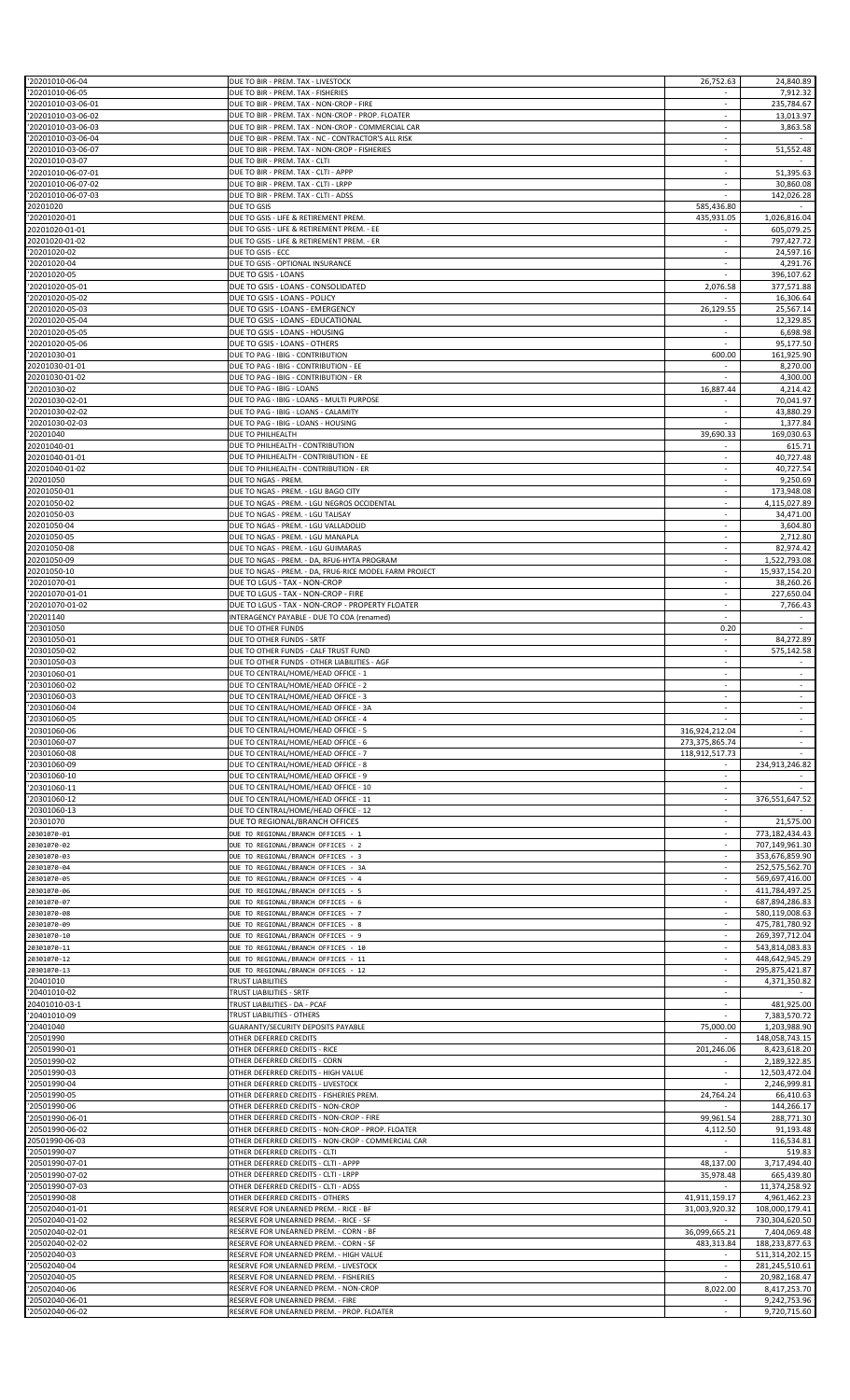| '20201010-06-04                          | DUE TO BIR - PREM. TAX - LIVESTOCK                                                                      | 26,752.63                | 24,840.89                    |
|------------------------------------------|---------------------------------------------------------------------------------------------------------|--------------------------|------------------------------|
| '20201010-06-05                          |                                                                                                         |                          | 7,912.32                     |
|                                          | DUE TO BIR - PREM. TAX - FISHERIES                                                                      |                          |                              |
| '20201010-03-06-01                       | DUE TO BIR - PREM. TAX - NON-CROP - FIRE                                                                | ÷                        | 235,784.67                   |
| '20201010-03-06-02                       | DUE TO BIR - PREM. TAX - NON-CROP - PROP. FLOATER<br>DUE TO BIR - PREM. TAX - NON-CROP - COMMERCIAL CAR | $\sim$                   | 13,013.97                    |
| '20201010-03-06-03<br>'20201010-03-06-04 | DUE TO BIR - PREM. TAX - NC - CONTRACTOR'S ALL RISK                                                     |                          | 3,863.58                     |
| '20201010-03-06-07                       | DUE TO BIR - PREM. TAX - NON-CROP - FISHERIES                                                           | ÷                        | 51,552.48                    |
| '20201010-03-07                          | DUE TO BIR - PREM. TAX - CLTI                                                                           | $\overline{\phantom{a}}$ |                              |
| '20201010-06-07-01                       | DUE TO BIR - PREM. TAX - CLTI - APPP                                                                    | $\sim$                   | 51,395.63                    |
| '20201010-06-07-02                       | DUE TO BIR - PREM. TAX - CLTI - LRPP                                                                    |                          |                              |
|                                          | DUE TO BIR - PREM. TAX - CLTI - ADSS                                                                    | $\sim$                   | 30,860.08                    |
| '20201010-06-07-03                       |                                                                                                         |                          | 142,026.28                   |
| 20201020                                 | DUE TO GSIS                                                                                             | 585,436.80               |                              |
| '20201020-01                             | DUE TO GSIS - LIFE & RETIREMENT PREM.                                                                   | 435,931.05               | 1,026,816.04                 |
| 20201020-01-01                           | DUE TO GSIS - LIFE & RETIREMENT PREM. - EE                                                              |                          | 605,079.25                   |
| 20201020-01-02                           | DUE TO GSIS - LIFE & RETIREMENT PREM. - ER                                                              | $\sim$                   | 797,427.72                   |
| '20201020-02                             | DUE TO GSIS - ECC                                                                                       | $\sim$                   | 24,597.16                    |
| '20201020-04                             | DUE TO GSIS - OPTIONAL INSURANCE                                                                        |                          | 4,291.76                     |
| '20201020-05                             | DUE TO GSIS - LOANS                                                                                     |                          | 396,107.62                   |
| '20201020-05-01                          | DUE TO GSIS - LOANS - CONSOLIDATED                                                                      | 2,076.58                 | 377,571.88                   |
| '20201020-05-02                          | DUE TO GSIS - LOANS - POLICY                                                                            |                          | 16,306.64                    |
| '20201020-05-03                          | DUE TO GSIS - LOANS - EMERGENCY                                                                         | 26,129.55                | 25,567.14                    |
| '20201020-05-04                          | DUE TO GSIS - LOANS - EDUCATIONAL                                                                       |                          | 12,329.85                    |
| '20201020-05-05                          | DUE TO GSIS - LOANS - HOUSING                                                                           | $\overline{\phantom{a}}$ | 6,698.98                     |
| '20201020-05-06                          | DUE TO GSIS - LOANS - OTHERS                                                                            | $\sim$                   | 95,177.50                    |
| '20201030-01                             | DUE TO PAG - IBIG - CONTRIBUTION                                                                        | 600.00                   | 161,925.90                   |
| 20201030-01-01                           | DUE TO PAG - IBIG - CONTRIBUTION - EE                                                                   |                          | 8,270.00                     |
| 20201030-01-02                           | DUE TO PAG - IBIG - CONTRIBUTION - ER                                                                   |                          | 4,300.00                     |
| '20201030-02                             | DUE TO PAG - IBIG - LOANS                                                                               | 16,887.44                | 4,214.42                     |
| '20201030-02-01                          | DUE TO PAG - IBIG - LOANS - MULTI PURPOSE                                                               |                          | 70,041.97                    |
| '20201030-02-02                          | DUE TO PAG - IBIG - LOANS - CALAMITY                                                                    | ×                        | 43,880.29                    |
| '20201030-02-03                          | DUE TO PAG - IBIG - LOANS - HOUSING                                                                     |                          | 1,377.84                     |
| '20201040                                | DUE TO PHILHEALTH                                                                                       | 39,690.33                | 169,030.63                   |
| 20201040-01                              | DUE TO PHILHEALTH - CONTRIBUTION                                                                        |                          | 615.71                       |
|                                          | DUE TO PHILHEALTH - CONTRIBUTION - EE                                                                   |                          |                              |
| 20201040-01-01<br>20201040-01-02         | DUE TO PHILHEALTH - CONTRIBUTION - ER                                                                   |                          | 40,727.48<br>40,727.54       |
|                                          |                                                                                                         | $\sim$                   |                              |
| '20201050                                | DUE TO NGAS - PREM.                                                                                     |                          | 9,250.69                     |
| 20201050-01                              | DUE TO NGAS - PREM. - LGU BAGO CITY                                                                     |                          | 173,948.08                   |
| 20201050-02                              | DUE TO NGAS - PREM. - LGU NEGROS OCCIDENTAL                                                             | $\overline{\phantom{a}}$ | 4,115,027.89                 |
| 20201050-03                              | DUE TO NGAS - PREM. - LGU TALISAY                                                                       | $\sim$                   | 34,471.00                    |
| 20201050-04                              | DUE TO NGAS - PREM. - LGU VALLADOLID                                                                    |                          | 3,604.80                     |
| 20201050-05                              | DUE TO NGAS - PREM. - LGU MANAPLA                                                                       | ÷                        | 2,712.80                     |
| 20201050-08                              | DUE TO NGAS - PREM. - LGU GUIMARAS                                                                      |                          | 82,974.42                    |
| 20201050-09                              | DUE TO NGAS - PREM. - DA, RFU6-HYTA PROGRAM                                                             | $\sim$                   | 1,522,793.08                 |
| 20201050-10                              | DUE TO NGAS - PREM. - DA, FRU6-RICE MODEL FARM PROJECT                                                  |                          | 15,937,154.20                |
| '20201070-01                             | DUE TO LGUS - TAX - NON-CROP                                                                            | $\sim$                   | 38,260.26                    |
| '20201070-01-01                          | DUE TO LGUS - TAX - NON-CROP - FIRE                                                                     | $\overline{\phantom{a}}$ | 227,650.04                   |
| '20201070-01-02                          | DUE TO LGUS - TAX - NON-CROP - PROPERTY FLOATER                                                         |                          | 7,766.43                     |
| '20201140                                | INTERAGENCY PAYABLE - DUE TO COA (renamed)                                                              |                          |                              |
| '20301050                                | DUE TO OTHER FUNDS                                                                                      | 0.20                     |                              |
| '20301050-01                             | DUE TO OTHER FUNDS - SRTF                                                                               | $\sim$                   | 84,272.89                    |
| '20301050-02                             | DUE TO OTHER FUNDS - CALF TRUST FUND                                                                    | $\sim$                   | 575,142.58                   |
| '20301050-03                             | DUE TO OTHER FUNDS - OTHER LIABILITIES - AGF                                                            |                          |                              |
| '20301060-01                             | DUE TO CENTRAL/HOME/HEAD OFFICE - 1                                                                     | $\overline{\phantom{a}}$ | $\overline{\phantom{a}}$     |
| '20301060-02                             | DUE TO CENTRAL/HOME/HEAD OFFICE - 2                                                                     | $\sim$                   | $\sim$                       |
| '20301060-03                             | DUE TO CENTRAL/HOME/HEAD OFFICE - 3                                                                     |                          |                              |
|                                          |                                                                                                         |                          |                              |
|                                          |                                                                                                         |                          |                              |
| '20301060-04                             | DUE TO CENTRAL/HOME/HEAD OFFICE - 3A                                                                    |                          |                              |
| '20301060-05                             | DUE TO CENTRAL/HOME/HEAD OFFICE - 4                                                                     |                          |                              |
| '20301060-06                             | DUE TO CENTRAL/HOME/HEAD OFFICE - 5                                                                     | 316,924,212.04           | $\sim$                       |
| '20301060-07                             | DUE TO CENTRAL/HOME/HEAD OFFICE - 6                                                                     | 273,375,865.74           |                              |
| '20301060-08                             | DUE TO CENTRAL/HOME/HEAD OFFICE - 7                                                                     | 118,912,517.73           |                              |
| '20301060-09                             | DUE TO CENTRAL/HOME/HEAD OFFICE - 8                                                                     |                          | 234,913,246.82               |
| '20301060-10                             | DUE TO CENTRAL/HOME/HEAD OFFICE - 9                                                                     |                          |                              |
| '20301060-11                             | DUE TO CENTRAL/HOME/HEAD OFFICE - 10                                                                    |                          |                              |
| '20301060-12                             | DUE TO CENTRAL/HOME/HEAD OFFICE - 11                                                                    | ×                        | 376,551,647.52               |
| '20301060-13                             | DUE TO CENTRAL/HOME/HEAD OFFICE - 12                                                                    |                          |                              |
| '20301070                                | DUE TO REGIONAL/BRANCH OFFICES                                                                          |                          | 21,575.00                    |
| 20301070-01                              | DUE TO REGIONAL/BRANCH OFFICES - 1                                                                      | ÷                        | 773,182,434.43               |
| 20301070-02                              | DUE TO REGIONAL/BRANCH OFFICES - 2                                                                      | $\overline{\phantom{a}}$ | 707,149,961.30               |
| 20301070-03                              | DUE TO REGIONAL/BRANCH OFFICES - 3                                                                      | $\sim$                   | 353,676,859.90               |
| 20301070-04                              | DUE TO REGIONAL/BRANCH OFFICES - 3A                                                                     |                          | 252,575,562.70               |
| 20301070-05                              | DUE TO REGIONAL/BRANCH OFFICES - 4                                                                      | $\sim$                   | 569,697,416.00               |
| 20301070-06                              | DUE TO REGIONAL/BRANCH OFFICES - 5                                                                      |                          | 411,784,497.25               |
| 20301070-07                              | DUE TO REGIONAL/BRANCH OFFICES - 6                                                                      | $\sim$                   | 687,894,286.83               |
| 20301070-08                              | DUE TO REGIONAL/BRANCH OFFICES - 7                                                                      |                          | 580,119,008.63               |
|                                          | DUE TO REGIONAL/BRANCH OFFICES - 8                                                                      | ×                        | 475,781,780.92               |
| 20301070-09<br>20301070-10               | DUE TO REGIONAL/BRANCH OFFICES - 9                                                                      | $\overline{\phantom{a}}$ | 269,397,712.04               |
|                                          |                                                                                                         | $\overline{\phantom{a}}$ |                              |
| 20301070-11                              | DUE TO REGIONAL/BRANCH OFFICES - 10                                                                     | ÷                        | 543,814,083.83               |
| 20301070-12                              | DUE TO REGIONAL/BRANCH OFFICES - 11                                                                     | ÷                        | 448,642,945.29               |
| 20301070-13                              | DUE TO REGIONAL/BRANCH OFFICES - 12                                                                     |                          | 295,875,421.87               |
| '20401010                                | <b>TRUST LIABILITIES</b>                                                                                | $\sim$                   | 4,371,350.82                 |
| '20401010-02                             | TRUST LIABILITIES - SRTF                                                                                |                          |                              |
| 20401010-03-1                            | TRUST LIABILITIES - DA - PCAF                                                                           |                          | 481,925.00                   |
| '20401010-09                             | TRUST LIABILITIES - OTHERS                                                                              |                          | 7,383,570.72                 |
| '20401040                                | GUARANTY/SECURITY DEPOSITS PAYABLE                                                                      | 75,000.00                | 1,203,988.90                 |
| '20501990                                | OTHER DEFERRED CREDITS                                                                                  |                          | 148,058,743.15               |
| '20501990-01                             | OTHER DEFERRED CREDITS - RICE                                                                           | 201,246.06               | 8,423,618.20                 |
| '20501990-02                             | OTHER DEFERRED CREDITS - CORN                                                                           |                          | 2,189,322.85                 |
| '20501990-03                             | OTHER DEFERRED CREDITS - HIGH VALUE                                                                     | $\sim$                   | 12,503,472.04                |
| '20501990-04                             | OTHER DEFERRED CREDITS - LIVESTOCK                                                                      |                          | 2,246,999.81                 |
| '20501990-05                             | OTHER DEFERRED CREDITS - FISHERIES PREM.                                                                | 24,764.24                | 66,410.63                    |
| '20501990-06                             | OTHER DEFERRED CREDITS - NON-CROP                                                                       |                          | 144,266.17                   |
| '20501990-06-01                          | OTHER DEFERRED CREDITS - NON-CROP - FIRE                                                                | 99,961.54                | 288,771.30                   |
| '20501990-06-02                          | OTHER DEFERRED CREDITS - NON-CROP - PROP. FLOATER                                                       | 4,112.50                 | 91,193.48                    |
| 20501990-06-03                           | OTHER DEFERRED CREDITS - NON-CROP - COMMERCIAL CAR                                                      |                          | 116,534.81                   |
| '20501990-07                             | OTHER DEFERRED CREDITS - CLTI                                                                           |                          | 519.83                       |
| '20501990-07-01                          | OTHER DEFERRED CREDITS - CLTI - APPP                                                                    | 48,137.00                | 3,717,494.40                 |
| '20501990-07-02                          | OTHER DEFERRED CREDITS - CLTI - LRPP                                                                    | 35,978.48                | 665,439.80                   |
| '20501990-07-03                          | OTHER DEFERRED CREDITS - CLTI - ADSS                                                                    |                          | 11,374,258.92                |
| '20501990-08                             | OTHER DEFERRED CREDITS - OTHERS                                                                         | 41,911,159.17            | 4,961,462.23                 |
| '20502040-01-01                          | RESERVE FOR UNEARNED PREM. - RICE - BF                                                                  | 31,003,920.32            | 108,000,179.41               |
| '20502040-01-02                          | RESERVE FOR UNEARNED PREM. - RICE - SF                                                                  |                          | 730,304,620.50               |
| '20502040-02-01                          | RESERVE FOR UNEARNED PREM. - CORN - BF                                                                  | 36,099,665.21            | 7,404,069.48                 |
| '20502040-02-02                          | RESERVE FOR UNEARNED PREM. - CORN - SF                                                                  | 483,313.84               | 188,233,877.63               |
|                                          | RESERVE FOR UNEARNED PREM. - HIGH VALUE                                                                 |                          |                              |
| '20502040-03                             |                                                                                                         | ×                        | 511,314,202.15               |
| '20502040-04                             | RESERVE FOR UNEARNED PREM. - LIVESTOCK<br>RESERVE FOR UNEARNED PREM. - FISHERIES                        |                          | 281,245,510.61               |
| '20502040-05                             |                                                                                                         |                          | 20,982,168.47                |
| '20502040-06<br>'20502040-06-01          | RESERVE FOR UNEARNED PREM. - NON-CROP<br>RESERVE FOR UNEARNED PREM. - FIRE                              | 8,022.00                 | 8,417,253.70<br>9,242,753.96 |
| '20502040-06-02                          | RESERVE FOR UNEARNED PREM. - PROP. FLOATER                                                              | $\sim$                   | 9,720,715.60                 |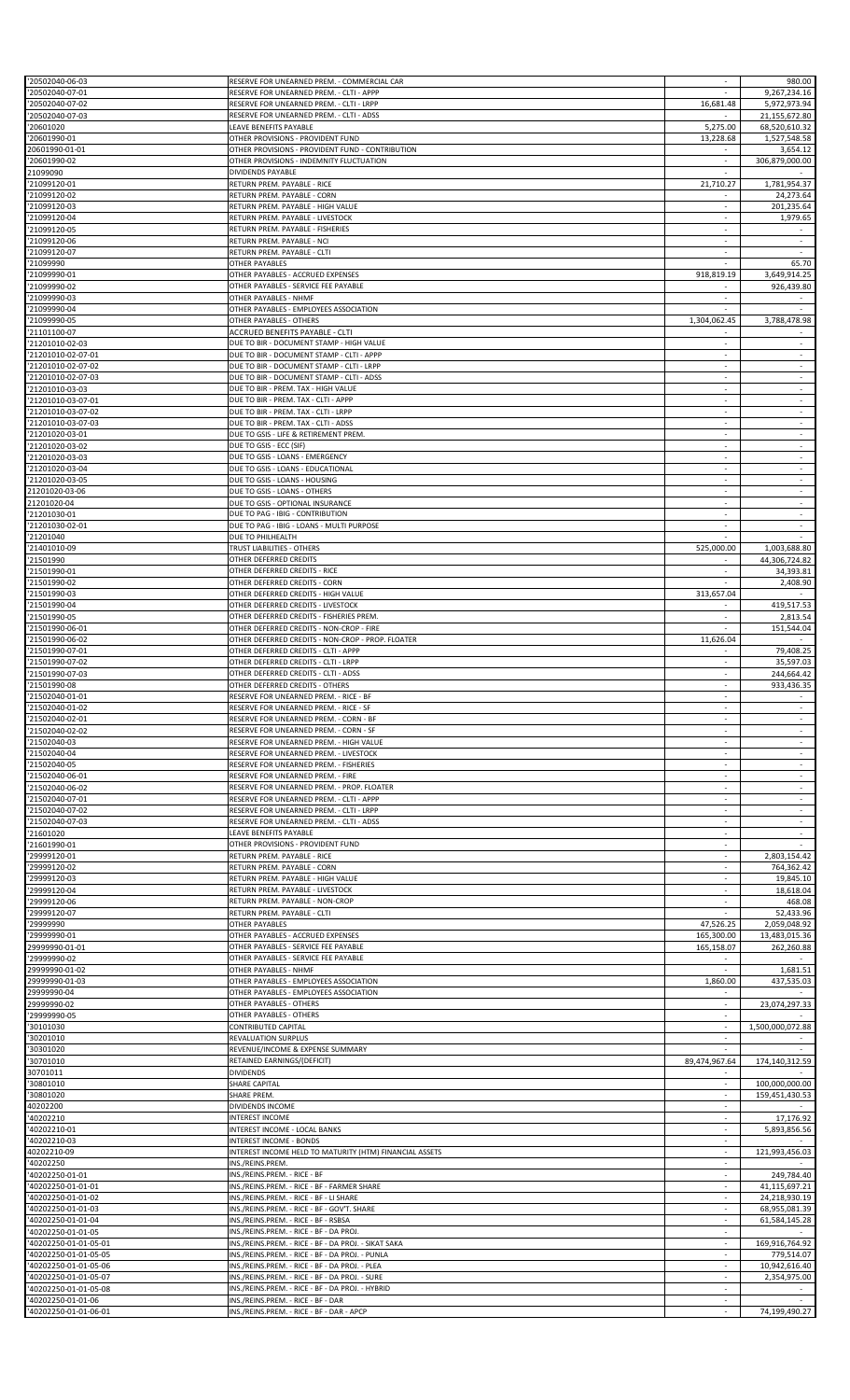| '20502040-06-03                                                                                                               | RESERVE FOR UNEARNED PREM. - COMMERCIAL CAR                                           |                          | 980.00                   |
|-------------------------------------------------------------------------------------------------------------------------------|---------------------------------------------------------------------------------------|--------------------------|--------------------------|
| '20502040-07-01                                                                                                               | RESERVE FOR UNEARNED PREM. - CLTI - APPP                                              |                          | 9,267,234.16             |
| '20502040-07-02                                                                                                               | RESERVE FOR UNEARNED PREM. - CLTI - LRPP                                              | 16,681.48                | 5,972,973.94             |
| '20502040-07-03                                                                                                               | RESERVE FOR UNEARNED PREM. - CLTI - ADSS                                              |                          | 21,155,672.80            |
|                                                                                                                               | LEAVE BENEFITS PAYABLE                                                                |                          |                          |
| '20601020                                                                                                                     |                                                                                       | 5,275.00                 | 68,520,610.32            |
| '20601990-01<br>20601990-01-01                                                                                                | OTHER PROVISIONS - PROVIDENT FUND<br>OTHER PROVISIONS - PROVIDENT FUND - CONTRIBUTION | 13,228.68                | 1,527,548.58<br>3,654.12 |
|                                                                                                                               |                                                                                       |                          |                          |
| '20601990-02                                                                                                                  | OTHER PROVISIONS - INDEMNITY FLUCTUATION                                              |                          | 306,879,000.00           |
| 21099090                                                                                                                      | DIVIDENDS PAYABLE                                                                     | $\sim$                   |                          |
| '21099120-01                                                                                                                  | RETURN PREM. PAYABLE - RICE                                                           | 21,710.27                | 1,781,954.37             |
| '21099120-02                                                                                                                  | RETURN PREM. PAYABLE - CORN                                                           |                          | 24,273.64                |
| '21099120-03                                                                                                                  | RETURN PREM. PAYABLE - HIGH VALUE                                                     |                          | 201,235.64               |
| '21099120-04                                                                                                                  | RETURN PREM. PAYABLE - LIVESTOCK                                                      | $\sim$                   | 1,979.65                 |
| '21099120-05                                                                                                                  | RETURN PREM. PAYABLE - FISHERIES                                                      |                          |                          |
| '21099120-06                                                                                                                  | RETURN PREM. PAYABLE - NCI                                                            |                          | $\sim$                   |
| '21099120-07                                                                                                                  | RETURN PREM. PAYABLE - CLTI                                                           | $\sim$                   | $\sim$                   |
| '21099990                                                                                                                     | <b>OTHER PAYABLES</b>                                                                 |                          | 65.70                    |
| '21099990-01                                                                                                                  | OTHER PAYABLES - ACCRUED EXPENSES                                                     | 918,819.19               | 3,649,914.25             |
| '21099990-02                                                                                                                  | OTHER PAYABLES - SERVICE FEE PAYABLE                                                  |                          | 926,439.80               |
| '21099990-03                                                                                                                  | OTHER PAYABLES - NHMF                                                                 | $\sim$                   |                          |
| '21099990-04                                                                                                                  | OTHER PAYABLES - EMPLOYEES ASSOCIATION                                                |                          |                          |
| '21099990-05                                                                                                                  | OTHER PAYABLES - OTHERS                                                               | 1,304,062.45             | 3,788,478.98             |
| '21101100-07                                                                                                                  | ACCRUED BENEFITS PAYABLE - CLTI                                                       |                          |                          |
|                                                                                                                               |                                                                                       |                          |                          |
| '21201010-02-03                                                                                                               | DUE TO BIR - DOCUMENT STAMP - HIGH VALUE                                              | $\sim$                   | $\sim$                   |
| '21201010-02-07-01                                                                                                            | DUE TO BIR - DOCUMENT STAMP - CLTI - APPP                                             |                          |                          |
| '21201010-02-07-02                                                                                                            | DUE TO BIR - DOCUMENT STAMP - CLTI - LRPP                                             | ×.                       | $\sim$                   |
| '21201010-02-07-03                                                                                                            | DUE TO BIR - DOCUMENT STAMP - CLTI - ADSS                                             |                          |                          |
| '21201010-03-03                                                                                                               | DUE TO BIR - PREM. TAX - HIGH VALUE                                                   | $\sim$                   | $\sim$                   |
| '21201010-03-07-01                                                                                                            | DUE TO BIR - PREM. TAX - CLTI - APPP                                                  |                          |                          |
| '21201010-03-07-02                                                                                                            | DUE TO BIR - PREM. TAX - CLTI - LRPP                                                  | ÷.                       | ÷                        |
| '21201010-03-07-03                                                                                                            | DUE TO BIR - PREM. TAX - CLTI - ADSS                                                  |                          |                          |
| '21201020-03-01                                                                                                               | DUE TO GSIS - LIFE & RETIREMENT PREM.                                                 |                          | $\overline{\phantom{a}}$ |
| '21201020-03-02                                                                                                               | DUE TO GSIS - ECC (SIF)                                                               |                          | ÷                        |
| '21201020-03-03                                                                                                               | DUE TO GSIS - LOANS - EMERGENCY                                                       | ÷.                       | ÷                        |
|                                                                                                                               | DUE TO GSIS - LOANS - EDUCATIONAL                                                     | $\sim$                   | $\sim$                   |
| '21201020-03-04                                                                                                               |                                                                                       |                          |                          |
| '21201020-03-05                                                                                                               | DUE TO GSIS - LOANS - HOUSING                                                         |                          |                          |
| 21201020-03-06                                                                                                                | DUE TO GSIS - LOANS - OTHERS                                                          |                          |                          |
| 21201020-04                                                                                                                   | DUE TO GSIS - OPTIONAL INSURANCE                                                      | $\overline{\phantom{a}}$ | $\sim$                   |
| '21201030-01                                                                                                                  | DUE TO PAG - IBIG - CONTRIBUTION                                                      | $\overline{a}$           | $\sim$                   |
| '21201030-02-01                                                                                                               | DUE TO PAG - IBIG - LOANS - MULTI PURPOSE                                             |                          |                          |
| '21201040                                                                                                                     | DUE TO PHILHEALTH                                                                     |                          |                          |
| '21401010-09                                                                                                                  | TRUST LIABILITIES - OTHERS                                                            | 525,000.00               | 1,003,688.80             |
| '21501990                                                                                                                     | OTHER DEFERRED CREDITS                                                                | $\sim$                   | 44,306,724.82            |
| '21501990-01                                                                                                                  | OTHER DEFERRED CREDITS - RICE                                                         |                          | 34,393.81                |
| '21501990-02                                                                                                                  | OTHER DEFERRED CREDITS - CORN                                                         |                          | 2,408.90                 |
|                                                                                                                               |                                                                                       |                          |                          |
| '21501990-03                                                                                                                  | OTHER DEFERRED CREDITS - HIGH VALUE                                                   | 313,657.04               |                          |
| '21501990-04                                                                                                                  | OTHER DEFERRED CREDITS - LIVESTOCK                                                    |                          | 419,517.53               |
| '21501990-05                                                                                                                  | OTHER DEFERRED CREDITS - FISHERIES PREM                                               |                          | 2,813.54                 |
| '21501990-06-01                                                                                                               | OTHER DEFERRED CREDITS - NON-CROP - FIRE                                              |                          | 151,544.04               |
| '21501990-06-02                                                                                                               | OTHER DEFERRED CREDITS - NON-CROP - PROP. FLOATER                                     | 11,626.04                |                          |
| '21501990-07-01                                                                                                               | OTHER DEFERRED CREDITS - CLTI - APPP                                                  |                          | 79,408.25                |
| '21501990-07-02                                                                                                               | OTHER DEFERRED CREDITS - CLTI - LRPP                                                  |                          | 35,597.03                |
| '21501990-07-03                                                                                                               | OTHER DEFERRED CREDITS - CLTI - ADSS                                                  |                          | 244,664.42               |
| '21501990-08                                                                                                                  | OTHER DEFERRED CREDITS - OTHERS                                                       |                          | 933,436.35               |
| '21502040-01-01                                                                                                               | RESERVE FOR UNEARNED PREM. - RICE - BF                                                |                          |                          |
| '21502040-01-02                                                                                                               | RESERVE FOR UNEARNED PREM. - RICE - SF                                                |                          |                          |
| '21502040-02-01                                                                                                               | RESERVE FOR UNEARNED PREM. - CORN - BF                                                |                          |                          |
|                                                                                                                               |                                                                                       |                          |                          |
| '21502040-02-02                                                                                                               | RESERVE FOR UNEARNED PREM. - CORN - SF                                                | $\overline{\phantom{a}}$ | $\sim$                   |
| '21502040-03                                                                                                                  | RESERVE FOR UNEARNED PREM. - HIGH VALUE                                               |                          |                          |
| '21502040-04                                                                                                                  | RESERVE FOR UNEARNED PREM. - LIVESTOCK                                                | ÷.                       | ÷                        |
| '21502040-05                                                                                                                  | RESERVE FOR UNEARNED PREM. - FISHERIES                                                |                          |                          |
| '21502040-06-01                                                                                                               | RESERVE FOR UNEARNED PREM. - FIRE                                                     |                          | $\overline{\phantom{a}}$ |
| '21502040-06-02                                                                                                               | RESERVE FOR UNEARNED PREM. - PROP. FLOATER                                            | ÷.                       |                          |
| '21502040-07-01                                                                                                               | RESERVE FOR UNEARNED PREM. - CLTI - APPP                                              | ÷.                       | ÷                        |
| '21502040-07-02                                                                                                               | RESERVE FOR UNEARNED PREM. - CLTI - LRPP                                              | $\sim$                   | $\sim$                   |
| '21502040-07-03                                                                                                               | RESERVE FOR UNEARNED PREM. - CLTI - ADSS                                              |                          |                          |
| '21601020                                                                                                                     | LEAVE BENEFITS PAYABLE                                                                | $\sim$                   |                          |
| '21601990-01                                                                                                                  | OTHER PROVISIONS - PROVIDENT FUND                                                     | ×                        |                          |
| '29999120-01                                                                                                                  | RETURN PREM. PAYABLE - RICE                                                           | $\sim$                   | 2,803,154.42             |
|                                                                                                                               |                                                                                       |                          |                          |
| '29999120-02                                                                                                                  | RETURN PREM. PAYABLE - CORN                                                           |                          | 764,362.42               |
| '29999120-03                                                                                                                  | RETURN PREM. PAYABLE - HIGH VALUE                                                     | ÷.                       | 19,845.10                |
| '29999120-04                                                                                                                  | RETURN PREM. PAYABLE - LIVESTOCK                                                      |                          | 18,618.04                |
| '29999120-06                                                                                                                  | RETURN PREM. PAYABLE - NON-CROP                                                       | $\sim$                   | 468.08                   |
| '29999120-07                                                                                                                  | RETURN PREM. PAYABLE - CLTI                                                           |                          | 52,433.96                |
| '29999990                                                                                                                     | <b>OTHER PAYABLES</b>                                                                 | 47,526.25                | 2,059,048.92             |
| '29999990-01                                                                                                                  | OTHER PAYABLES - ACCRUED EXPENSES                                                     | 165,300.00               | 13,483,015.36            |
| 29999990-01-01                                                                                                                | OTHER PAYABLES - SERVICE FEE PAYABLE                                                  | 165,158.07               | 262,260.88               |
| '29999990-02                                                                                                                  | OTHER PAYABLES - SERVICE FEE PAYABLE                                                  |                          |                          |
| 29999990-01-02                                                                                                                | OTHER PAYABLES - NHMF                                                                 | ×                        | 1,681.51                 |
| 29999990-01-03                                                                                                                | OTHER PAYABLES - EMPLOYEES ASSOCIATION                                                | 1,860.00                 | 437,535.03               |
| 29999990-04                                                                                                                   | OTHER PAYABLES - EMPLOYEES ASSOCIATION                                                |                          |                          |
| 29999990-02                                                                                                                   | OTHER PAYABLES - OTHERS                                                               |                          | 23,074,297.33            |
| '29999990-05                                                                                                                  | OTHER PAYABLES - OTHERS                                                               |                          |                          |
| '30101030                                                                                                                     | CONTRIBUTED CAPITAL                                                                   | $\sim$                   | 1,500,000,072.88         |
|                                                                                                                               |                                                                                       |                          |                          |
| '30201010                                                                                                                     | REVALUATION SURPLUS                                                                   |                          |                          |
| '30301020                                                                                                                     | REVENUE/INCOME & EXPENSE SUMMARY                                                      | ×.                       |                          |
| '30701010                                                                                                                     | RETAINED EARNINGS/(DEFICIT)                                                           | 89,474,967.64            | 174,140,312.59           |
| 30701011                                                                                                                      | <b>DIVIDENDS</b>                                                                      |                          |                          |
| '30801010                                                                                                                     | SHARE CAPITAL                                                                         |                          | 100,000,000.00           |
| '30801020                                                                                                                     | SHARE PREM.                                                                           | $\sim$                   | 159,451,430.53           |
| 40202200                                                                                                                      | DIVIDENDS INCOME                                                                      |                          |                          |
| '40202210                                                                                                                     | INTEREST INCOME                                                                       | $\sim$                   | 17,176.92                |
| '40202210-01                                                                                                                  | INTEREST INCOME - LOCAL BANKS                                                         | ×.                       | 5,893,856.56             |
| '40202210-03                                                                                                                  | <b>INTEREST INCOME - BONDS</b>                                                        | ÷.                       |                          |
| 40202210-09                                                                                                                   | INTEREST INCOME HELD TO MATURITY (HTM) FINANCIAL ASSETS                               | $\sim$                   | 121,993,456.03           |
|                                                                                                                               |                                                                                       |                          |                          |
| '40202250                                                                                                                     |                                                                                       |                          |                          |
|                                                                                                                               | INS./REINS.PREM.                                                                      |                          |                          |
|                                                                                                                               | INS./REINS.PREM. - RICE - BF                                                          | ÷.                       | 249,784.40               |
|                                                                                                                               | INS./REINS.PREM. - RICE - BF - FARMER SHARE                                           | ×                        | 41,115,697.21            |
|                                                                                                                               | INS./REINS.PREM. - RICE - BF - LI SHARE                                               | $\overline{\phantom{a}}$ | 24,218,930.19            |
|                                                                                                                               | INS./REINS.PREM. - RICE - BF - GOV'T. SHARE                                           |                          | 68,955,081.39            |
|                                                                                                                               | INS./REINS.PREM. - RICE - BF - RSBSA                                                  | ×                        | 61,584,145.28            |
| '40202250-01-01<br>'40202250-01-01-01<br>'40202250-01-01-02<br>'40202250-01-01-03<br>'40202250-01-01-04<br>'40202250-01-01-05 | INS./REINS.PREM. - RICE - BF - DA PROJ.                                               |                          |                          |
|                                                                                                                               | INS./REINS.PREM. - RICE - BF - DA PROJ. - SIKAT SAKA                                  | $\sim$                   | 169,916,764.92           |
| '40202250-01-01-05-01<br>'40202250-01-01-05-05                                                                                | INS./REINS.PREM. - RICE - BF - DA PROJ. - PUNLA                                       |                          | 779,514.07               |
|                                                                                                                               | INS./REINS.PREM. - RICE - BF - DA PROJ. - PLEA                                        | ÷.                       |                          |
| '40202250-01-01-05-06                                                                                                         |                                                                                       |                          | 10,942,616.40            |
| '40202250-01-01-05-07                                                                                                         | INS./REINS.PREM. - RICE - BF - DA PROJ. - SURE                                        |                          | 2,354,975.00             |
| '40202250-01-01-05-08                                                                                                         | INS./REINS.PREM. - RICE - BF - DA PROJ. - HYBRID                                      | $\sim$                   |                          |
| '40202250-01-01-06<br>'40202250-01-01-06-01                                                                                   | INS./REINS.PREM. - RICE - BF - DAR<br>INS./REINS.PREM. - RICE - BF - DAR - APCP       | $\sim$                   | 74,199,490.27            |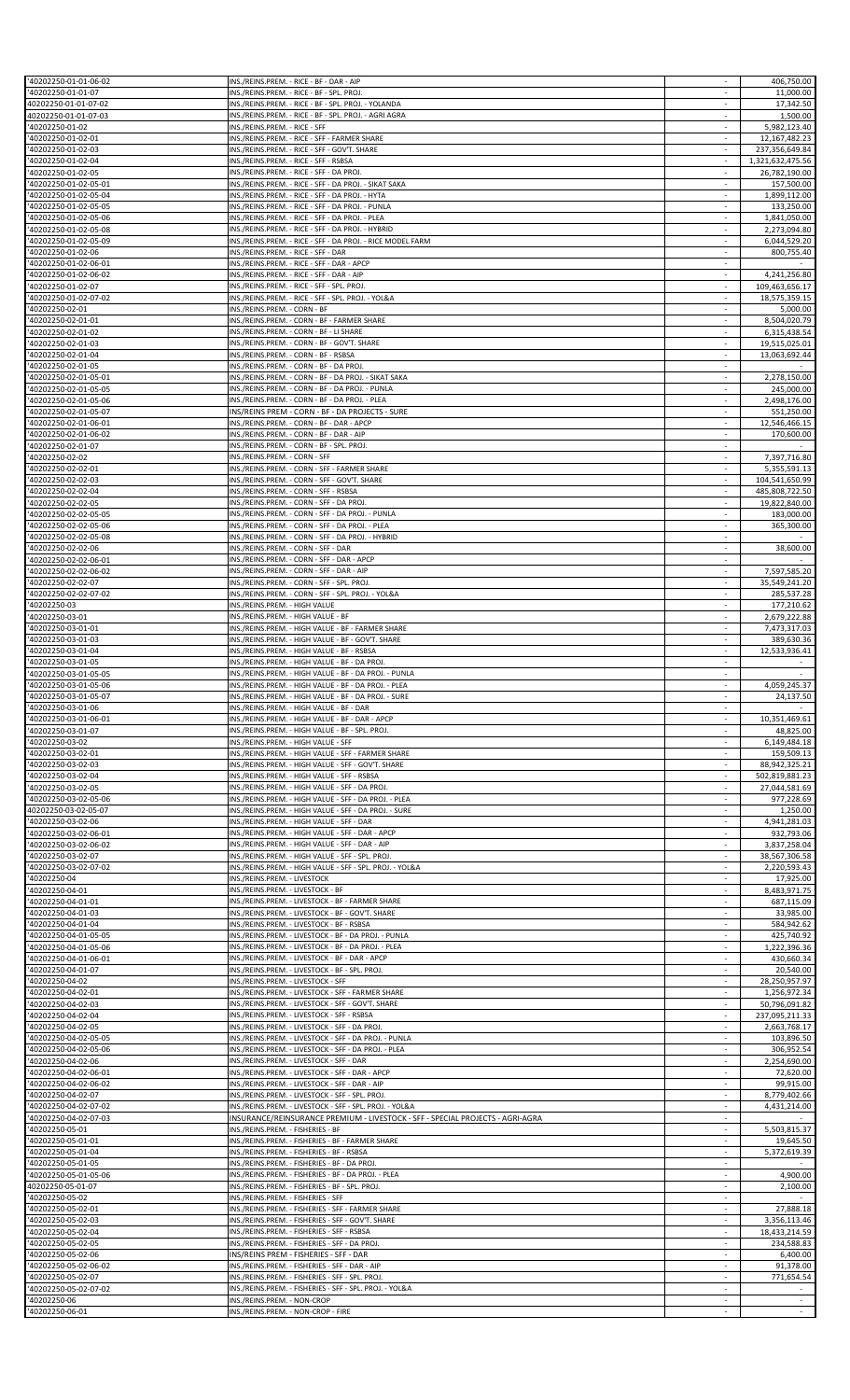| '40202250-01-01-06-02 | INS./REINS.PREM. - RICE - BF - DAR - AIP                                       |                          | 406,750.00       |
|-----------------------|--------------------------------------------------------------------------------|--------------------------|------------------|
| 40202250-01-01-07     | INS./REINS.PREM. - RICE - BF - SPL. PROJ.                                      |                          | 11,000.00        |
| 40202250-01-01-07-02  | INS./REINS.PREM. - RICE - BF - SPL. PROJ. - YOLANDA                            | $\sim$                   | 17,342.50        |
| 40202250-01-01-07-03  | INS./REINS.PREM. - RICE - BF - SPL. PROJ. - AGRI AGRA                          | $\sim$                   | 1,500.00         |
| '40202250-01-02       | INS./REINS.PREM. - RICE - SFF                                                  | $\sim$                   | 5,982,123.40     |
| 40202250-01-02-01     | INS./REINS.PREM. - RICE - SFF - FARMER SHARE                                   |                          | 12,167,482.23    |
| '40202250-01-02-03    | INS./REINS.PREM. - RICE - SFF - GOV'T. SHARE                                   | $\mathcal{L}$            | 237,356,649.84   |
| 40202250-01-02-04     | INS./REINS.PREM. - RICE - SFF - RSBSA                                          | $\overline{\phantom{a}}$ |                  |
|                       |                                                                                |                          | 1,321,632,475.56 |
| 40202250-01-02-05     | INS./REINS.PREM. - RICE - SFF - DA PROJ.                                       | $\sim$                   | 26,782,190.00    |
| '40202250-01-02-05-01 | INS./REINS.PREM. - RICE - SFF - DA PROJ. - SIKAT SAKA                          |                          | 157,500.00       |
| '40202250-01-02-05-04 | INS./REINS.PREM. - RICE - SFF - DA PROJ. - HYTA                                | $\mathcal{L}$            | 1,899,112.00     |
| '40202250-01-02-05-05 | INS./REINS.PREM. - RICE - SFF - DA PROJ. - PUNLA                               |                          | 133,250.00       |
| 40202250-01-02-05-06  | INS./REINS.PREM. - RICE - SFF - DA PROJ. - PLEA                                | $\sim$                   | 1,841,050.00     |
| 40202250-01-02-05-08  | INS./REINS.PREM. - RICE - SFF - DA PROJ. - HYBRID                              |                          | 2,273,094.80     |
|                       | INS./REINS.PREM. - RICE - SFF - DA PROJ. - RICE MODEL FARM                     | $\sim$                   |                  |
| '40202250-01-02-05-09 |                                                                                |                          | 6,044,529.20     |
| '40202250-01-02-06    | INS./REINS.PREM. - RICE - SFF - DAR                                            | $\sim$                   | 800,755.40       |
| 40202250-01-02-06-01  | INS./REINS.PREM. - RICE - SFF - DAR - APCP                                     |                          |                  |
| '40202250-01-02-06-02 | INS./REINS.PREM. - RICE - SFF - DAR - AIP                                      | $\sim$                   | 4,241,256.80     |
| '40202250-01-02-07    | INS./REINS.PREM. - RICE - SFF - SPL. PROJ.                                     | $\overline{\phantom{a}}$ | 109,463,656.17   |
| '40202250-01-02-07-02 | INS./REINS.PREM. - RICE - SFF - SPL. PROJ. - YOL&A                             | $\overline{\phantom{a}}$ | 18,575,359.15    |
| 40202250-02-01        | INS./REINS.PREM. - CORN - BF                                                   | $\sim$                   | 5,000.00         |
|                       |                                                                                | $\mathcal{L}$            |                  |
| '40202250-02-01-01    | INS./REINS.PREM. - CORN - BF - FARMER SHARE                                    |                          | 8,504,020.79     |
| '40202250-02-01-02    | INS./REINS.PREM. - CORN - BF - LI SHARE                                        | $\overline{\phantom{a}}$ | 6,315,438.54     |
| 40202250-02-01-03     | INS./REINS.PREM. - CORN - BF - GOV'T. SHARE                                    | $\sim$                   | 19,515,025.01    |
| '40202250-02-01-04    | INS./REINS.PREM. - CORN - BF - RSBSA                                           |                          | 13,063,692.44    |
| '40202250-02-01-05    | INS./REINS.PREM. - CORN - BF - DA PROJ.                                        | $\mathcal{L}$            |                  |
| 40202250-02-01-05-01  | INS./REINS.PREM. - CORN - BF - DA PROJ. - SIKAT SAKA                           | $\overline{\phantom{a}}$ | 2,278,150.00     |
|                       | INS./REINS.PREM. - CORN - BF - DA PROJ. - PUNLA                                | $\sim$                   |                  |
| 40202250-02-01-05-05  |                                                                                |                          | 245,000.00       |
| '40202250-02-01-05-06 | INS./REINS.PREM. - CORN - BF - DA PROJ. - PLEA                                 |                          | 2,498,176.00     |
| '40202250-02-01-05-07 | INS/REINS PREM - CORN - BF - DA PROJECTS - SURE                                | $\sim$                   | 551,250.00       |
| '40202250-02-01-06-01 | INS./REINS.PREM. - CORN - BF - DAR - APCP                                      | $\overline{\phantom{a}}$ | 12,546,466.15    |
| 40202250-02-01-06-02  | INS./REINS.PREM. - CORN - BF - DAR - AIP                                       | $\overline{\phantom{a}}$ | 170,600.00       |
| '40202250-02-01-07    | INS./REINS.PREM. - CORN - BF - SPL. PROJ.                                      | ÷                        |                  |
|                       |                                                                                | $\sim$                   |                  |
| 40202250-02-02        | INS./REINS.PREM. - CORN - SFF                                                  |                          | 7,397,716.80     |
| '40202250-02-02-01    | INS./REINS.PREM. - CORN - SFF - FARMER SHARE                                   | $\overline{\phantom{a}}$ | 5,355,591.13     |
| 40202250-02-02-03     | INS./REINS.PREM. - CORN - SFF - GOV'T. SHARE                                   |                          | 104,541,650.99   |
| 40202250-02-02-04     | INS./REINS.PREM. - CORN - SFF - RSBSA                                          | ÷.                       | 485,808,722.50   |
| 40202250-02-02-05     | INS./REINS.PREM. - CORN - SFF - DA PROJ.                                       | $\sim$                   | 19,822,840.00    |
| 40202250-02-02-05-05  | INS./REINS.PREM. - CORN - SFF - DA PROJ. - PUNLA                               | $\sim$                   | 183,000.00       |
| '40202250-02-02-05-06 |                                                                                |                          |                  |
|                       | INS./REINS.PREM. - CORN - SFF - DA PROJ. - PLEA                                |                          | 365,300.00       |
| '40202250-02-02-05-08 | INS./REINS.PREM. - CORN - SFF - DA PROJ. - HYBRID                              | $\mathcal{L}$            |                  |
| '40202250-02-02-06    | INS./REINS.PREM. - CORN - SFF - DAR                                            |                          | 38,600.00        |
| 40202250-02-02-06-01  | INS./REINS.PREM. - CORN - SFF - DAR - APCP                                     | $\sim$                   |                  |
| '40202250-02-02-06-02 | INS./REINS.PREM. - CORN - SFF - DAR - AIP                                      |                          | 7,597,585.20     |
| '40202250-02-02-07    | INS./REINS.PREM. - CORN - SFF - SPL. PROJ.                                     | $\sim$                   | 35,549,241.20    |
|                       |                                                                                |                          |                  |
| '40202250-02-02-07-02 | INS./REINS.PREM. - CORN - SFF - SPL. PROJ. - YOL&A                             | $\overline{\phantom{a}}$ | 285,537.28       |
| 40202250-03           | INS./REINS.PREM. - HIGH VALUE                                                  |                          | 177,210.62       |
| '40202250-03-01       | INS./REINS.PREM. - HIGH VALUE - BF                                             | $\mathcal{L}$            | 2,679,222.88     |
| '40202250-03-01-01    | INS./REINS.PREM. - HIGH VALUE - BF - FARMER SHARE                              | $\sim$                   | 7,473,317.03     |
| '40202250-03-01-03    | INS./REINS.PREM. - HIGH VALUE - BF - GOV'T. SHARE                              | $\sim$                   | 389,630.36       |
| 40202250-03-01-04     | INS./REINS.PREM. - HIGH VALUE - BF - RSBSA                                     | $\overline{\phantom{a}}$ | 12,533,936.41    |
| '40202250-03-01-05    | INS./REINS.PREM. - HIGH VALUE - BF - DA PROJ.                                  | $\sim$                   |                  |
|                       |                                                                                |                          |                  |
| 40202250-03-01-05-05  | INS./REINS.PREM. - HIGH VALUE - BF - DA PROJ. - PUNLA                          | $\overline{\phantom{a}}$ | $\sim$           |
| 40202250-03-01-05-06  | INS./REINS.PREM. - HIGH VALUE - BF - DA PROJ. - PLEA                           | $\sim$                   | 4,059,245.37     |
|                       |                                                                                |                          |                  |
| '40202250-03-01-05-07 | INS./REINS.PREM. - HIGH VALUE - BF - DA PROJ. - SURE                           |                          | 24,137.50        |
| '40202250-03-01-06    | INS./REINS.PREM. - HIGH VALUE - BF - DAR                                       |                          |                  |
|                       |                                                                                |                          |                  |
| 40202250-03-01-06-01  | INS./REINS.PREM. - HIGH VALUE - BF - DAR - APCP                                |                          | 10,351,469.61    |
| 40202250-03-01-07     | INS./REINS.PREM. - HIGH VALUE - BF - SPL. PROJ.                                | $\sim$                   | 48,825.00        |
| 40202250-03-02        | INS./REINS.PREM. - HIGH VALUE - SFF                                            |                          | 6,149,484.18     |
| '40202250-03-02-01    | INS./REINS.PREM. - HIGH VALUE - SFF - FARMER SHARE                             | $\sim$                   | 159,509.13       |
| '40202250-03-02-03    | INS./REINS.PREM. - HIGH VALUE - SFF - GOV'T. SHARE                             | $\overline{\phantom{a}}$ | 88,942,325.21    |
| 40202250-03-02-04     | INS./REINS.PREM. - HIGH VALUE - SFF - RSBSA                                    | $\overline{\phantom{a}}$ | 502,819,881.23   |
| '40202250-03-02-05    |                                                                                | $\sim$                   | 27,044,581.69    |
|                       | INS./REINS.PREM. - HIGH VALUE - SFF - DA PROJ.                                 | $\sim$                   |                  |
| '40202250-03-02-05-06 | INS./REINS.PREM. - HIGH VALUE - SFF - DA PROJ. - PLEA                          |                          | 977,228.69       |
| 40202250-03-02-05-07  | INS./REINS.PREM. - HIGH VALUE - SFF - DA PROJ. - SURE                          | $\sim$                   | 1,250.00         |
| 40202250-03-02-06     | INS./REINS.PREM. - HIGH VALUE - SFF - DAR                                      |                          | 4,941,281.03     |
| '40202250-03-02-06-01 | INS./REINS.PREM. - HIGH VALUE - SFF - DAR - APCP                               | ÷                        | 932,793.06       |
| '40202250-03-02-06-02 | INS./REINS.PREM. - HIGH VALUE - SFF - DAR - AIP                                | $\sim$                   | 3,837,258.04     |
| 40202250-03-02-07     | INS./REINS.PREM. - HIGH VALUE - SFF - SPL. PROJ.                               | $\sim$                   | 38,567,306.58    |
|                       |                                                                                |                          |                  |
| 40202250-03-02-07-02  | INS./REINS.PREM. - HIGH VALUE - SFF - SPL. PROJ. - YOL&A                       | $\mathcal{L}$            | 2,220,593.43     |
| 40202250-04           | INS./REINS.PREM. - LIVESTOCK                                                   |                          | 17,925.00        |
| '40202250-04-01       | INS./REINS.PREM. - LIVESTOCK - BF                                              |                          | 8,483,971.75     |
| 40202250-04-01-01     | INS./REINS.PREM. - LIVESTOCK - BF - FARMER SHARE                               | $\sim$                   | 687,115.09       |
| '40202250-04-01-03    | INS./REINS.PREM. - LIVESTOCK - BF - GOV'T. SHARE                               |                          | 33,985.00        |
| '40202250-04-01-04    | INS./REINS.PREM. - LIVESTOCK - BF - RSBSA                                      | $\sim$                   | 584,942.62       |
| '40202250-04-01-05-05 | INS./REINS.PREM. - LIVESTOCK - BF - DA PROJ. - PUNLA                           | $\sim$                   | 425,740.92       |
| '40202250-04-01-05-06 | INS./REINS.PREM. - LIVESTOCK - BF - DA PROJ. - PLEA                            | $\overline{\phantom{a}}$ | 1,222,396.36     |
|                       |                                                                                | $\sim$                   |                  |
| '40202250-04-01-06-01 | INS./REINS.PREM. - LIVESTOCK - BF - DAR - APCP                                 |                          | 430,660.34       |
| 40202250-04-01-07     | INS./REINS.PREM. - LIVESTOCK - BF - SPL. PROJ.                                 | $\sim$                   | 20,540.00        |
| 40202250-04-02        | INS./REINS.PREM. - LIVESTOCK - SFF                                             | $\overline{\phantom{a}}$ | 28,250,957.97    |
| 40202250-04-02-01     | INS./REINS.PREM. - LIVESTOCK - SFF - FARMER SHARE                              | $\sim$                   | 1,256,972.34     |
| '40202250-04-02-03    | INS./REINS.PREM. - LIVESTOCK - SFF - GOV'T. SHARE                              | $\mathcal{L}$            | 50,796,091.82    |
| '40202250-04-02-04    | INS./REINS.PREM. - LIVESTOCK - SFF - RSBSA                                     | $\sim$                   | 237,095,211.33   |
|                       |                                                                                | $\sim$                   |                  |
| 40202250-04-02-05     | INS./REINS.PREM. - LIVESTOCK - SFF - DA PROJ.                                  |                          | 2,663,768.17     |
| '40202250-04-02-05-05 | INS./REINS.PREM. - LIVESTOCK - SFF - DA PROJ. - PUNLA                          |                          | 103,896.50       |
| '40202250-04-02-05-06 | INS./REINS.PREM. - LIVESTOCK - SFF - DA PROJ. - PLEA                           | $\sim$                   | 306,952.54       |
| 40202250-04-02-06     | INS./REINS.PREM. - LIVESTOCK - SFF - DAR                                       | $\overline{\phantom{a}}$ | 2,254,690.00     |
| 40202250-04-02-06-01  | INS./REINS.PREM. - LIVESTOCK - SFF - DAR - APCP                                | $\sim$                   | 72,620.00        |
| '40202250-04-02-06-02 | INS./REINS.PREM. - LIVESTOCK - SFF - DAR - AIP                                 |                          | 99,915.00        |
|                       |                                                                                | $\mathcal{L}$            |                  |
| '40202250-04-02-07    | INS./REINS.PREM. - LIVESTOCK - SFF - SPL. PROJ.                                |                          | 8,779,402.66     |
| '40202250-04-02-07-02 | INS./REINS.PREM. - LIVESTOCK - SFF - SPL. PROJ. - YOL&A                        |                          | 4,431,214.00     |
| 40202250-04-02-07-03  | INSURANCE/REINSURANCE PREMIUM - LIVESTOCK - SFF - SPECIAL PROJECTS - AGRI-AGRA | $\sim$                   | $\sim$           |
| '40202250-05-01       | INS./REINS.PREM. - FISHERIES - BF                                              | $\mathcal{L}$            | 5,503,815.37     |
| '40202250-05-01-01    | INS./REINS.PREM. - FISHERIES - BF - FARMER SHARE                               | $\sim$                   | 19,645.50        |
| '40202250-05-01-04    | INS./REINS.PREM. - FISHERIES - BF - RSBSA                                      | $\sim$                   | 5,372,619.39     |
|                       |                                                                                |                          |                  |
| 40202250-05-01-05     | INS./REINS.PREM. - FISHERIES - BF - DA PROJ.                                   |                          |                  |
| '40202250-05-01-05-06 | INS./REINS.PREM. - FISHERIES - BF - DA PROJ. - PLEA                            | $\sim$                   | 4,900.00         |
| 40202250-05-01-07     | INS./REINS.PREM. - FISHERIES - BF - SPL. PROJ.                                 | $\sim$                   | 2,100.00         |
| 40202250-05-02        | INS./REINS.PREM. - FISHERIES - SFF                                             | $\overline{\phantom{a}}$ |                  |
| '40202250-05-02-01    | INS./REINS.PREM. - FISHERIES - SFF - FARMER SHARE                              | $\overline{\phantom{a}}$ | 27.888.18        |
| '40202250-05-02-03    | INS./REINS.PREM. - FISHERIES - SFF - GOV'T. SHARE                              | $\mathcal{L}$            | 3,356,113.46     |
|                       |                                                                                |                          |                  |
| '40202250-05-02-04    | INS./REINS.PREM. - FISHERIES - SFF - RSBSA                                     |                          | 18,433,214.59    |
| 40202250-05-02-05     | INS./REINS.PREM. - FISHERIES - SFF - DA PROJ.                                  | $\sim$                   | 234,588.83       |
| 40202250-05-02-06     | INS/REINS PREM - FISHERIES - SFF - DAR                                         |                          | 6,400.00         |
| '40202250-05-02-06-02 | INS./REINS.PREM. - FISHERIES - SFF - DAR - AIP                                 | $\mathcal{L}$            | 91,378.00        |
| 40202250-05-02-07     | INS./REINS.PREM. - FISHERIES - SFF - SPL. PROJ.                                | $\overline{\phantom{a}}$ | 771,654.54       |
| 40202250-05-02-07-02  | INS./REINS.PREM. - FISHERIES - SFF - SPL. PROJ. - YOL&A                        | $\sim$                   |                  |
| 40202250-06           | INS./REINS.PREM. - NON-CROP                                                    | $\sim$                   |                  |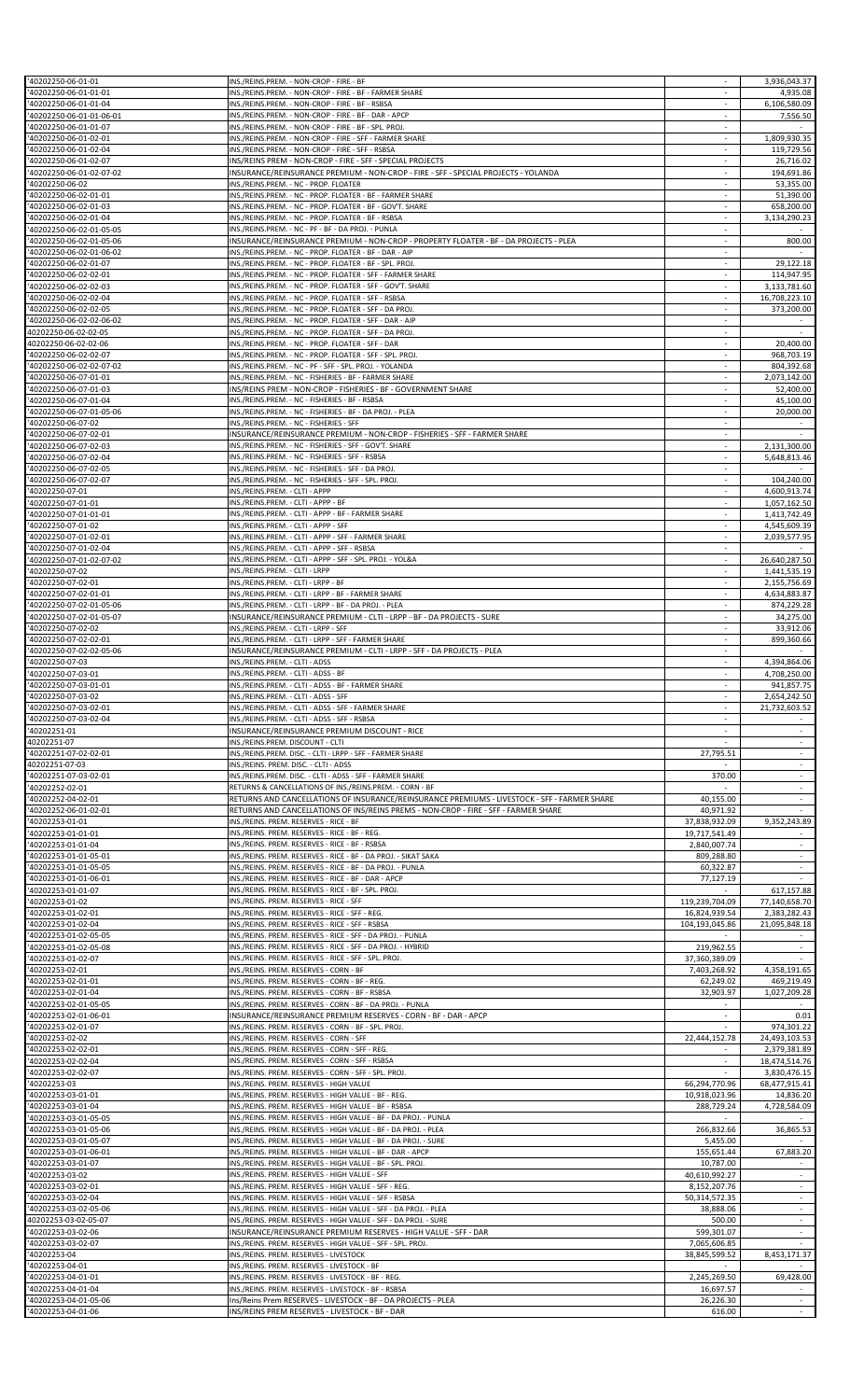| '40202250-06-01-01                                | INS./REINS.PREM. - NON-CROP - FIRE - BF                                                                         |                          | 3,936,043.37             |
|---------------------------------------------------|-----------------------------------------------------------------------------------------------------------------|--------------------------|--------------------------|
|                                                   |                                                                                                                 |                          |                          |
| '40202250-06-01-01-01                             | INS./REINS.PREM. - NON-CROP - FIRE - BF - FARMER SHARE                                                          |                          | 4,935.08                 |
| '40202250-06-01-01-04                             | INS./REINS.PREM. - NON-CROP - FIRE - BF - RSBSA                                                                 |                          | 6,106,580.09             |
| '40202250-06-01-01-06-01                          | INS./REINS.PREM. - NON-CROP - FIRE - BF - DAR - APCP                                                            | $\sim$                   | 7,556.50                 |
| '40202250-06-01-01-07                             | INS./REINS.PREM. - NON-CROP - FIRE - BF - SPL. PROJ.                                                            | $\sim$                   |                          |
| '40202250-06-01-02-01                             | INS./REINS.PREM. - NON-CROP - FIRE - SFF - FARMER SHARE                                                         |                          | 1,809,930.35             |
| '40202250-06-01-02-04                             | INS./REINS.PREM. - NON-CROP - FIRE - SFF - RSBSA                                                                | $\sim$                   | 119,729.56               |
| '40202250-06-01-02-07                             | INS/REINS PREM - NON-CROP - FIRE - SFF - SPECIAL PROJECTS                                                       | $\overline{\phantom{a}}$ | 26,716.02                |
| '40202250-06-01-02-07-02                          | INSURANCE/REINSURANCE PREMIUM - NON-CROP - FIRE - SFF - SPECIAL PROJECTS - YOLANDA                              | $\sim$                   | 194,691.86               |
| '40202250-06-02                                   | INS./REINS.PREM. - NC - PROP. FLOATER                                                                           |                          | 53,355.00                |
| '40202250-06-02-01-01                             | INS./REINS.PREM. - NC - PROP. FLOATER - BF - FARMER SHARE                                                       | $\sim$                   | 51,390.00                |
| '40202250-06-02-01-03                             | INS./REINS.PREM. - NC - PROP. FLOATER - BF - GOV'T. SHARE                                                       |                          | 658,200.00               |
| '40202250-06-02-01-04                             | INS./REINS.PREM. - NC - PROP. FLOATER - BF - RSBSA                                                              | $\sim$                   | 3,134,290.23             |
| '40202250-06-02-01-05-05                          | INS./REINS.PREM. - NC - PF - BF - DA PROJ. - PUNLA                                                              |                          |                          |
| '40202250-06-02-01-05-06                          | INSURANCE/REINSURANCE PREMIUM - NON-CROP - PROPERTY FLOATER - BF - DA PROJECTS - PLEA                           | $\sim$                   | 800.00                   |
| '40202250-06-02-01-06-02                          | INS./REINS.PREM. - NC - PROP. FLOATER - BF - DAR - AIP                                                          | $\sim$                   |                          |
| '40202250-06-02-01-07                             | INS./REINS.PREM. - NC - PROP. FLOATER - BF - SPL. PROJ                                                          |                          | 29,122.18                |
| '40202250-06-02-02-01                             | INS./REINS.PREM. - NC - PROP. FLOATER - SFF - FARMER SHARE                                                      | ÷.                       | 114,947.95               |
| '40202250-06-02-02-03                             | INS./REINS.PREM. - NC - PROP. FLOATER - SFF - GOV'T. SHARE                                                      | $\overline{\phantom{a}}$ | 3,133,781.60             |
|                                                   |                                                                                                                 |                          |                          |
| '40202250-06-02-02-04                             | INS./REINS.PREM. - NC - PROP. FLOATER - SFF - RSBSA                                                             | $\overline{\phantom{a}}$ | 16,708,223.10            |
| '40202250-06-02-02-05                             | INS./REINS.PREM. - NC - PROP. FLOATER - SFF - DA PROJ                                                           | $\sim$                   | 373,200.00               |
| '40202250-06-02-02-06-02                          | INS./REINS.PREM. - NC - PROP. FLOATER - SFF - DAR - AIP                                                         | $\mathcal{L}$            |                          |
| 40202250-06-02-02-05                              | INS./REINS.PREM. - NC - PROP. FLOATER - SFF - DA PROJ.                                                          | $\overline{\phantom{a}}$ | $\sim$                   |
| 40202250-06-02-02-06                              | INS./REINS.PREM. - NC - PROP. FLOATER - SFF - DAR                                                               | $\sim$                   | 20,400.00                |
| '40202250-06-02-02-07                             | INS./REINS.PREM. - NC - PROP. FLOATER - SFF - SPL. PROJ                                                         |                          | 968,703.19               |
| '40202250-06-02-02-07-02                          | INS./REINS.PREM. - NC - PF - SFF - SPL. PROJ. - YOLANDA                                                         | $\sim$                   | 804,392.68               |
| '40202250-06-07-01-01                             | INS./REINS.PREM. - NC - FISHERIES - BF - FARMER SHARE                                                           | $\overline{\phantom{a}}$ | 2,073,142.00             |
| '40202250-06-07-01-03                             | INS/REINS PREM - NON-CROP - FISHERIES - BF - GOVERNMENT SHARE                                                   | $\sim$                   | 52,400.00                |
| '40202250-06-07-01-04                             | INS./REINS.PREM. - NC - FISHERIES - BF - RSBSA                                                                  |                          | 45,100.00                |
| '40202250-06-07-01-05-06                          | INS./REINS.PREM. - NC - FISHERIES - BF - DA PROJ. - PLEA                                                        | $\sim$                   | 20,000.00                |
| '40202250-06-07-02                                |                                                                                                                 | $\overline{\phantom{a}}$ |                          |
|                                                   | INS./REINS.PREM. - NC - FISHERIES - SFF                                                                         |                          |                          |
| '40202250-06-07-02-01                             | INSURANCE/REINSURANCE PREMIUM - NON-CROP - FISHERIES - SFF - FARMER SHARE                                       | $\sim$                   |                          |
| '40202250-06-07-02-03                             | INS./REINS.PREM. - NC - FISHERIES - SFF - GOV'T. SHARE                                                          |                          | 2,131,300.00             |
| '40202250-06-07-02-04                             | INS./REINS.PREM. - NC - FISHERIES - SFF - RSBSA                                                                 | $\sim$                   | 5,648,813.46             |
| '40202250-06-07-02-05                             | INS./REINS.PREM. - NC - FISHERIES - SFF - DA PROJ.                                                              | $\sim$                   |                          |
| '40202250-06-07-02-07                             | INS./REINS.PREM. - NC - FISHERIES - SFF - SPL. PROJ.                                                            |                          | 104,240.00               |
| '40202250-07-01                                   | INS./REINS.PREM. - CLTI - APPP                                                                                  | ÷.                       | 4,600,913.74             |
| '40202250-07-01-01                                | INS./REINS.PREM. - CLTI - APPP - BF                                                                             | $\sim$                   | 1,057,162.50             |
| '40202250-07-01-01-01                             | INS./REINS.PREM. - CLTI - APPP - BF - FARMER SHARE                                                              | $\sim$                   | 1,413,742.49             |
| '40202250-07-01-02                                | INS./REINS.PREM. - CLTI - APPP - SFF                                                                            |                          | 4,545,609.39             |
| '40202250-07-01-02-01                             | INS./REINS.PREM. - CLTI - APPP - SFF - FARMER SHARE                                                             | $\sim$                   | 2,039,577.95             |
|                                                   | INS./REINS.PREM. - CLTI - APPP - SFF - RSBSA                                                                    |                          |                          |
| '40202250-07-01-02-04<br>'40202250-07-01-02-07-02 | INS./REINS.PREM. - CLTI - APPP - SFF - SPL. PROJ. - YOL&A                                                       | $\sim$                   | 26,640,287.50            |
|                                                   |                                                                                                                 |                          |                          |
| '40202250-07-02                                   | INS./REINS.PREM. - CLTI - LRPP                                                                                  |                          | 1,441,535.19             |
| '40202250-07-02-01                                | INS./REINS.PREM. - CLTI - LRPP - BF                                                                             | ÷.                       | 2,155,756.69             |
| '40202250-07-02-01-01                             | INS./REINS.PREM. - CLTI - LRPP - BF - FARMER SHARE                                                              | $\overline{\phantom{a}}$ | 4,634,883.87             |
| '40202250-07-02-01-05-06                          | INS./REINS.PREM. - CLTI - LRPP - BF - DA PROJ. - PLEA                                                           |                          | 874,229.28               |
| '40202250-07-02-01-05-07                          | INSURANCE/REINSURANCE PREMIUM - CLTI - LRPP - BF - DA PROJECTS - SURE                                           | $\sim$                   | 34,275.00                |
| '40202250-07-02-02                                | INS./REINS.PREM. - CLTI - LRPP - SFF                                                                            | $\sim$                   | 33,912.06                |
| '40202250-07-02-02-01                             | INS./REINS.PREM. - CLTI - LRPP - SFF - FARMER SHARE                                                             | $\sim$                   | 899,360.66               |
| '40202250-07-02-02-05-06                          | INSURANCE/REINSURANCE PREMIUM - CLTI - LRPP - SFF - DA PROJECTS - PLEA                                          |                          |                          |
| '40202250-07-03                                   | INS./REINS.PREM. - CLTI - ADSS                                                                                  | ÷.                       | 4,394,864.06             |
| '40202250-07-03-01                                | INS./REINS.PREM. - CLTI - ADSS - BF                                                                             | $\overline{\phantom{a}}$ | 4,708,250.00             |
| '40202250-07-03-01-01                             | INS./REINS.PREM. - CLTI - ADSS - BF - FARMER SHARE                                                              | $\sim$                   | 941,857.75               |
|                                                   |                                                                                                                 |                          |                          |
| '40202250-07-03-02                                | INS./REINS.PREM. - CLTI - ADSS - SFF                                                                            |                          | 2,654,242.50             |
| '40202250-07-03-02-01                             | INS./REINS.PREM. - CLTI - ADSS - SFF - FARMER SHARE                                                             |                          | 21,732,603.52            |
| '40202250-07-03-02-04                             | INS./REINS.PREM. - CLTI - ADSS - SFF - RSBSA                                                                    |                          |                          |
| '40202251-01                                      | INSURANCE/REINSURANCE PREMIUM DISCOUNT - RICE                                                                   | $\sim$                   | $\sim$                   |
| 40202251-07                                       | INS./REINS.PREM. DISCOUNT - CLTI                                                                                |                          |                          |
| '40202251-07-02-02-01                             | INS./REINS.PREM. DISC. - CLTI - LRPP - SFF - FARMER SHARE                                                       | 27,795.51                | ÷                        |
| 40202251-07-03                                    | INS./REINS. PREM. DISC. - CLTI - ADSS                                                                           |                          | $\overline{\phantom{a}}$ |
| '40202251-07-03-02-01                             | INS./REINS.PREM. DISC. - CLTI - ADSS - SFF - FARMER SHARE                                                       | 370.00                   | $\sim$                   |
| '40202252-02-01                                   | RETURNS & CANCELLATIONS OF INS./REINS.PREM. - CORN - BF                                                         |                          | ÷                        |
| '40202252-04-02-01                                | RETURNS AND CANCELLATIONS OF INSURANCE/REINSURANCE PREMIUMS - LIVESTOCK - SFF - FARMER SHARE                    | 40,155.00                | $\overline{\phantom{a}}$ |
| '40202252-06-01-02-01                             | RETURNS AND CANCELLATIONS OF INS/REINS PREMS - NON-CROP - FIRE - SFF - FARMER SHARE                             | 40,971.92                |                          |
| '40202253-01-01                                   | INS./REINS. PREM. RESERVES - RICE - BF                                                                          | 37,838,932.09            | 9,352,243.89             |
| '40202253-01-01-01                                | INS./REINS. PREM. RESERVES - RICE - BF - REG.                                                                   | 19,717,541.49            |                          |
| '40202253-01-01-04                                | INS./REINS. PREM. RESERVES - RICE - BF - RSBSA                                                                  | 2,840,007.74             | $\sim$                   |
|                                                   |                                                                                                                 |                          |                          |
| '40202253-01-01-05-01                             | INS./REINS. PREM. RESERVES - RICE - BF - DA PROJ. - SIKAT SAKA                                                  | 809,288.80               | $\sim$                   |
| '40202253-01-01-05-05                             | INS./REINS. PREM. RESERVES - RICE - BF - DA PROJ. - PUNLA                                                       | 60,322.87                |                          |
| '40202253-01-01-06-01                             | INS./REINS. PREM. RESERVES - RICE - BF - DAR - APCP                                                             | 77,127.19                |                          |
| '40202253-01-01-07                                | INS./REINS. PREM. RESERVES - RICE - BF - SPL. PROJ.                                                             |                          | 617,157.88               |
| '40202253-01-02                                   | INS./REINS. PREM. RESERVES - RICE - SFF                                                                         | 119,239,704.09           | 77,140,658.70            |
| '40202253-01-02-01                                | INS./REINS. PREM. RESERVES - RICE - SFF - REG.                                                                  | 16,824,939.54            | 2,383,282.43             |
| '40202253-01-02-04                                | INS./REINS. PREM. RESERVES - RICE - SFF - RSBSA                                                                 | 104,193,045.86           | 21,095,848.18            |
| '40202253-01-02-05-05                             | INS./REINS. PREM. RESERVES - RICE - SFF - DA PROJ. - PUNLA                                                      |                          |                          |
| '40202253-01-02-05-08                             | INS./REINS. PREM. RESERVES - RICE - SFF - DA PROJ. - HYBRID                                                     | 219,962.55               | $\sim$                   |
| '40202253-01-02-07                                | INS./REINS. PREM. RESERVES - RICE - SFF - SPL. PROJ.                                                            | 37,360,389.09            |                          |
| '40202253-02-01                                   | INS./REINS. PREM. RESERVES - CORN - BF                                                                          | 7,403,268.92             | 4,358,191.65             |
| '40202253-02-01-01                                | INS./REINS. PREM. RESERVES - CORN - BF - REG.                                                                   | 62,249.02                | 469,219.49               |
| '40202253-02-01-04                                | INS./REINS. PREM. RESERVES - CORN - BF - RSBSA                                                                  | 32,903.97                | 1,027,209.28             |
| '40202253-02-01-05-05                             | INS./REINS. PREM. RESERVES - CORN - BF - DA PROJ. - PUNLA                                                       |                          |                          |
| '40202253-02-01-06-01                             | INSURANCE/REINSURANCE PREMIUM RESERVES - CORN - BF - DAR - APCP                                                 | $\sim$                   | 0.01                     |
| '40202253-02-01-07                                | INS./REINS. PREM. RESERVES - CORN - BF - SPL. PROJ.                                                             |                          | 974,301.22               |
| '40202253-02-02                                   | INS./REINS. PREM. RESERVES - CORN - SFF                                                                         | 22,444,152.78            | 24,493,103.53            |
|                                                   |                                                                                                                 |                          |                          |
| '40202253-02-02-01                                | INS./REINS. PREM. RESERVES - CORN - SFF - REG.                                                                  |                          | 2,379,381.89             |
| '40202253-02-02-04                                | INS./REINS. PREM. RESERVES - CORN - SFF - RSBSA                                                                 |                          | 18,474,514.76            |
| '40202253-02-02-07                                | INS./REINS. PREM. RESERVES - CORN - SFF - SPL. PROJ.                                                            |                          | 3,830,476.15             |
| '40202253-03                                      | INS./REINS. PREM. RESERVES - HIGH VALUE                                                                         | 66,294,770.96            | 68,477,915.41            |
| '40202253-03-01-01                                | INS./REINS. PREM. RESERVES - HIGH VALUE - BF - REG.                                                             | 10,918,023.96            | 14,836.20                |
| '40202253-03-01-04                                | INS./REINS. PREM. RESERVES - HIGH VALUE - BF - RSBSA                                                            | 288,729.24               | 4,728,584.09             |
| '40202253-03-01-05-05                             | INS./REINS. PREM. RESERVES - HIGH VALUE - BF - DA PROJ. - PUNLA                                                 |                          |                          |
| '40202253-03-01-05-06                             | INS./REINS. PREM. RESERVES - HIGH VALUE - BF - DA PROJ. - PLEA                                                  | 266,832.66               | 36,865.53                |
| '40202253-03-01-05-07                             | INS./REINS. PREM. RESERVES - HIGH VALUE - BF - DA PROJ. - SURE                                                  | 5,455.00                 |                          |
| '40202253-03-01-06-01                             | INS./REINS. PREM. RESERVES - HIGH VALUE - BF - DAR - APCP                                                       | 155,651.44               | 67,883.20                |
| '40202253-03-01-07                                | INS./REINS. PREM. RESERVES - HIGH VALUE - BF - SPL. PROJ.                                                       | 10.787.00                |                          |
| '40202253-03-02                                   | INS./REINS. PREM. RESERVES - HIGH VALUE - SFF                                                                   |                          | $\overline{\phantom{a}}$ |
|                                                   |                                                                                                                 | 40,610,992.27            |                          |
| '40202253-03-02-01                                | INS./REINS. PREM. RESERVES - HIGH VALUE - SFF - REG.                                                            | 8,152,207.76             | $\sim$                   |
| '40202253-03-02-04                                | INS./REINS. PREM. RESERVES - HIGH VALUE - SFF - RSBSA                                                           | 50,314,572.35            | $\sim$                   |
| '40202253-03-02-05-06                             | INS./REINS. PREM. RESERVES - HIGH VALUE - SFF - DA PROJ. - PLEA                                                 | 38,888.06                |                          |
| 40202253-03-02-05-07                              | INS./REINS. PREM. RESERVES - HIGH VALUE - SFF - DA PROJ. - SURE                                                 | 500.00                   | $\sim$                   |
| '40202253-03-02-06                                | INSURANCE/REINSURANCE PREMIUM RESERVES - HIGH VALUE - SFF - DAR                                                 | 599,301.07               |                          |
| '40202253-03-02-07                                | INS./REINS. PREM. RESERVES - HIGH VALUE - SFF - SPL. PROJ.                                                      | 7,065,606.85             |                          |
| '40202253-04                                      | INS./REINS. PREM. RESERVES - LIVESTOCK                                                                          | 38,845,599.52            | 8,453,171.37             |
| '40202253-04-01                                   | INS./REINS. PREM. RESERVES - LIVESTOCK - BF                                                                     |                          |                          |
| '40202253-04-01-01                                | INS./REINS. PREM. RESERVES - LIVESTOCK - BF - REG.                                                              | 2,245,269.50             | 69,428.00                |
| '40202253-04-01-04                                | INS./REINS. PREM. RESERVES - LIVESTOCK - BF - RSBSA                                                             | 16,697.57                |                          |
|                                                   |                                                                                                                 |                          |                          |
|                                                   |                                                                                                                 |                          | ÷                        |
| '40202253-04-01-05-06<br>'40202253-04-01-06       | Ins/Reins Prem RESERVES - LIVESTOCK - BF - DA PROJECTS - PLEA<br>INS/REINS PREM RESERVES - LIVESTOCK - BF - DAR | 26,226.30<br>616.00      | $\sim$                   |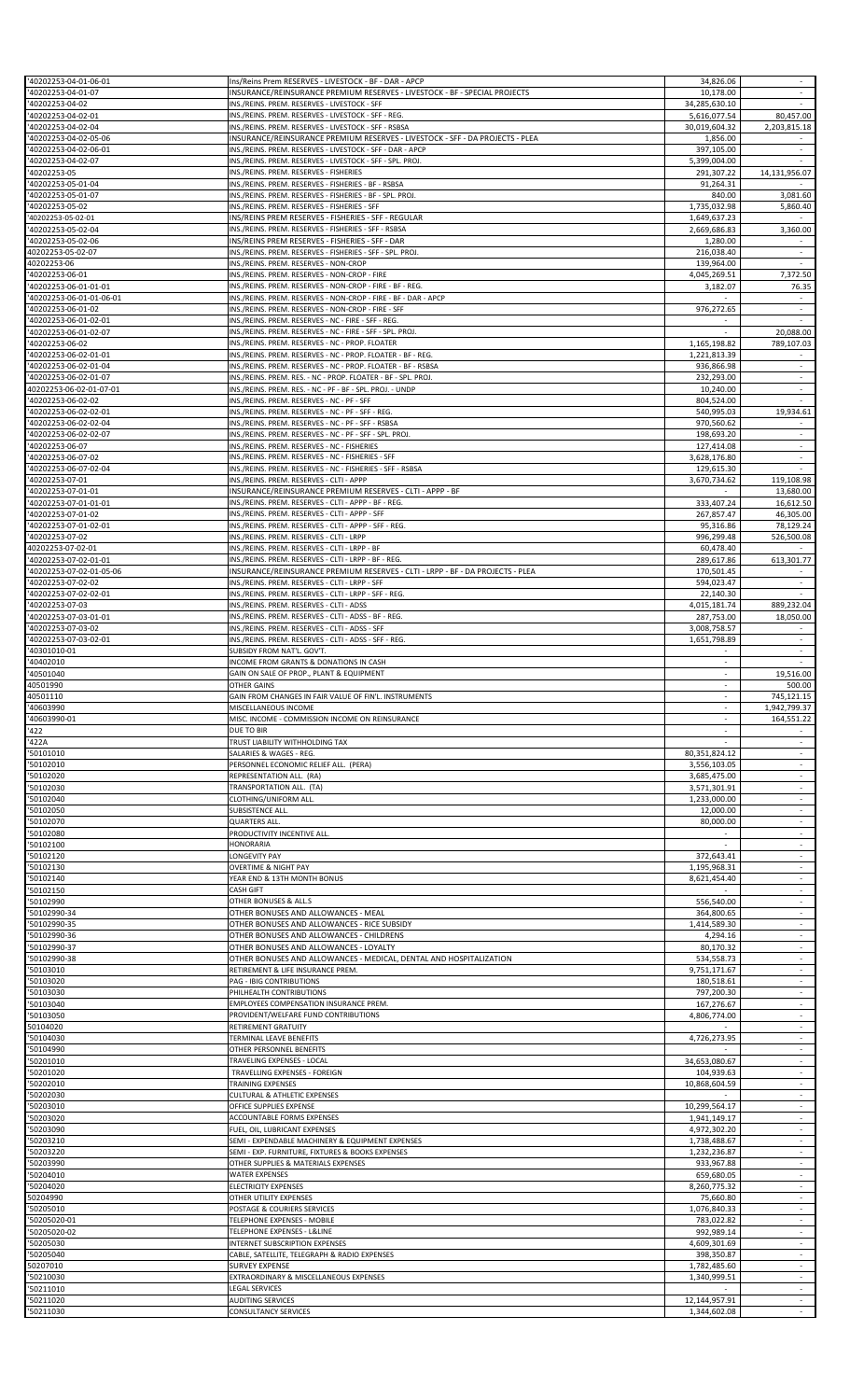| '40202253-04-01-06-01                             | Ins/Reins Prem RESERVES - LIVESTOCK - BF - DAR - APCP                                                                                      | 34,826.06                          | $\sim$                                               |
|---------------------------------------------------|--------------------------------------------------------------------------------------------------------------------------------------------|------------------------------------|------------------------------------------------------|
| '40202253-04-01-07<br>'40202253-04-02             | INSURANCE/REINSURANCE PREMIUM RESERVES - LIVESTOCK - BF - SPECIAL PROJECTS<br>INS./REINS. PREM. RESERVES - LIVESTOCK - SFF                 | 10,178.00<br>34,285,630.10         | $\sim$                                               |
| '40202253-04-02-01                                | INS./REINS. PREM. RESERVES - LIVESTOCK - SFF - REG.                                                                                        | 5,616,077.54                       | 80,457.00                                            |
| '40202253-04-02-04                                | INS./REINS. PREM. RESERVES - LIVESTOCK - SFF - RSBSA                                                                                       | 30,019,604.32                      | 2,203,815.18                                         |
| '40202253-04-02-05-06<br>'40202253-04-02-06-01    | INSURANCE/REINSURANCE PREMIUM RESERVES - LIVESTOCK - SFF - DA PROJECTS - PLEA<br>INS./REINS. PREM. RESERVES - LIVESTOCK - SFF - DAR - APCP | 1,856.00<br>397,105.00             | $\omega$                                             |
| '40202253-04-02-07                                | INS./REINS. PREM. RESERVES - LIVESTOCK - SFF - SPL. PROJ.                                                                                  | 5,399,004.00                       |                                                      |
| '40202253-05<br>'40202253-05-01-04                | INS./REINS. PREM. RESERVES - FISHERIES<br>INS./REINS. PREM. RESERVES - FISHERIES - BF - RSBSA                                              | 291,307.22<br>91,264.31            | 14,131,956.07                                        |
| '40202253-05-01-07                                | INS./REINS. PREM. RESERVES - FISHERIES - BF - SPL. PROJ.                                                                                   | 840.00                             | 3,081.60                                             |
| '40202253-05-02<br>'40202253-05-02-01             | INS./REINS. PREM. RESERVES - FISHERIES - SFF<br>INS/REINS PREM RESERVES - FISHERIES - SFF - REGULAR                                        | 1,735,032.98<br>1,649,637.23       | 5,860.40                                             |
| '40202253-05-02-04                                | INS./REINS. PREM. RESERVES - FISHERIES - SFF - RSBSA                                                                                       | 2,669,686.83                       | 3,360.00                                             |
| '40202253-05-02-06                                | INS/REINS PREM RESERVES - FISHERIES - SFF - DAR<br>INS./REINS. PREM. RESERVES - FISHERIES - SFF - SPL. PROJ.                               | 1,280.00                           | $\sim$                                               |
| 40202253-05-02-07<br>40202253-06                  | INS./REINS. PREM. RESERVES - NON-CROP                                                                                                      | 216,038.40<br>139,964.00           |                                                      |
| '40202253-06-01                                   | INS./REINS. PREM. RESERVES - NON-CROP - FIRE                                                                                               | 4,045,269.51                       | 7,372.50                                             |
| '40202253-06-01-01-01<br>'40202253-06-01-01-06-01 | INS./REINS. PREM. RESERVES - NON-CROP - FIRE - BF - REG.<br>INS./REINS. PREM. RESERVES - NON-CROP - FIRE - BF - DAR - APCP                 | 3,182.07                           | 76.35<br>$\sim$                                      |
| '40202253-06-01-02                                | INS./REINS. PREM. RESERVES - NON-CROP - FIRE - SFF                                                                                         | 976,272.65                         | $\overline{\phantom{a}}$                             |
| '40202253-06-01-02-01<br>'40202253-06-01-02-07    | INS./REINS. PREM. RESERVES - NC - FIRE - SFF - REG.<br>INS./REINS. PREM. RESERVES - NC - FIRE - SFF - SPL. PROJ.                           | $\overline{\phantom{a}}$           | 20,088.00                                            |
| '40202253-06-02                                   | INS./REINS. PREM. RESERVES - NC - PROP. FLOATER                                                                                            | 1,165,198.82                       | 789,107.03                                           |
| '40202253-06-02-01-01                             | INS./REINS. PREM. RESERVES - NC - PROP. FLOATER - BF - REG.                                                                                | 1,221,813.39                       |                                                      |
| '40202253-06-02-01-04<br>'40202253-06-02-01-07    | INS./REINS. PREM. RESERVES - NC - PROP. FLOATER - BF - RSBSA<br>INS./REINS. PREM. RES. - NC - PROP. FLOATER - BF - SPL. PROJ.              | 936,866.98<br>232,293.00           | ÷<br>$\overline{\phantom{a}}$                        |
| 40202253-06-02-01-07-01                           | INS./REINS. PREM. RES. - NC - PF - BF - SPL. PROJ. - UNDP                                                                                  | 10,240.00                          | $\sim$                                               |
| '40202253-06-02-02<br>'40202253-06-02-02-01       | INS./REINS. PREM. RESERVES - NC - PF - SFF<br>INS./REINS. PREM. RESERVES - NC - PF - SFF - REG.                                            | 804,524.00<br>540,995.03           | 19,934.61                                            |
| '40202253-06-02-02-04                             | INS./REINS. PREM. RESERVES - NC - PF - SFF - RSBSA                                                                                         | 970,560.62                         |                                                      |
| '40202253-06-02-02-07                             | INS./REINS. PREM. RESERVES - NC - PF - SFF - SPL. PROJ.                                                                                    | 198,693.20                         | $\sim$                                               |
| '40202253-06-07<br>'40202253-06-07-02             | INS./REINS. PREM. RESERVES - NC - FISHERIES<br>INS./REINS. PREM. RESERVES - NC - FISHERIES - SFF                                           | 127,414.08<br>3,628,176.80         | $\overline{\phantom{a}}$<br>$\sim$                   |
| '40202253-06-07-02-04                             | INS./REINS. PREM. RESERVES - NC - FISHERIES - SFF - RSBSA                                                                                  | 129,615.30                         |                                                      |
| '40202253-07-01<br>'40202253-07-01-01             | INS./REINS. PREM. RESERVES - CLTI - APPP<br>INSURANCE/REINSURANCE PREMIUM RESERVES - CLTI - APPP - BF                                      | 3,670,734.62                       | 119,108.98<br>13,680.00                              |
| '40202253-07-01-01-01                             | INS./REINS. PREM. RESERVES - CLTI - APPP - BF - REG.                                                                                       | 333,407.24                         | 16,612.50                                            |
| '40202253-07-01-02                                | INS./REINS. PREM. RESERVES - CLTI - APPP - SFF                                                                                             | 267,857.47                         | 46,305.00                                            |
| '40202253-07-01-02-01<br>'40202253-07-02          | INS./REINS. PREM. RESERVES - CLTI - APPP - SFF - REG.<br>INS./REINS. PREM. RESERVES - CLTI - LRPP                                          | 95,316.86<br>996,299.48            | 78,129.24<br>526,500.08                              |
| 40202253-07-02-01                                 | INS./REINS. PREM. RESERVES - CLTI - LRPP - BF                                                                                              | 60,478.40                          |                                                      |
| '40202253-07-02-01-01<br>'40202253-07-02-01-05-06 | INS./REINS. PREM. RESERVES - CLTI - LRPP - BF - REG.<br>INSURANCE/REINSURANCE PREMIUM RESERVES - CLTI - LRPP - BF - DA PROJECTS - PLEA     | 289,617.86<br>170,501.45           | 613,301.77                                           |
| '40202253-07-02-02                                | INS./REINS. PREM. RESERVES - CLTI - LRPP - SFF                                                                                             | 594,023.47                         | $\sim$                                               |
| '40202253-07-02-02-01                             | INS./REINS. PREM. RESERVES - CLTI - LRPP - SFF - REG.                                                                                      | 22,140.30                          |                                                      |
| '40202253-07-03<br>'40202253-07-03-01-01          | INS./REINS. PREM. RESERVES - CLTI - ADSS<br>INS./REINS. PREM. RESERVES - CLTI - ADSS - BF - REG.                                           | 4,015,181.74<br>287,753.00         | 889,232.04<br>18,050.00                              |
| '40202253-07-03-02                                | INS./REINS. PREM. RESERVES - CLTI - ADSS - SFF                                                                                             | 3,008,758.57                       |                                                      |
| '40202253-07-03-02-01<br>'40301010-01             | INS./REINS. PREM. RESERVES - CLTI - ADSS - SFF - REG.<br>SUBSIDY FROM NAT'L. GOV'T.                                                        | 1,651,798.89                       | $\sim$<br>$\overline{\phantom{a}}$                   |
| '40402010                                         | INCOME FROM GRANTS & DONATIONS IN CASH                                                                                                     |                                    |                                                      |
| '40501040<br>40501990                             | GAIN ON SALE OF PROP., PLANT & EQUIPMENT<br><b>OTHER GAINS</b>                                                                             | $\overline{\phantom{a}}$<br>$\sim$ | 19,516.00<br>500.00                                  |
| 40501110                                          | GAIN FROM CHANGES IN FAIR VALUE OF FIN'L. INSTRUMENTS                                                                                      |                                    | 745,121.15                                           |
| '40603990                                         | MISCELLANEOUS INCOME                                                                                                                       |                                    | 1,942,799.37                                         |
|                                                   | MISC. INCOME - COMMISSION INCOME ON REINSURANCE                                                                                            |                                    |                                                      |
| '40603990-01                                      |                                                                                                                                            | $\sim$                             | 164,551.22<br>$\sim$                                 |
| '422<br>'422A                                     | DUE TO BIR<br>TRUST LIABILITY WITHHOLDING TAX                                                                                              |                                    |                                                      |
| '50101010                                         | SALARIES & WAGES - REG.                                                                                                                    | 80,351,824.12                      | ÷                                                    |
| '50102010<br>'50102020                            | PERSONNEL ECONOMIC RELIEF ALL. (PERA)<br>REPRESENTATION ALL. (RA)                                                                          | 3,556,103.05<br>3,685,475.00       | $\overline{\phantom{a}}$<br>$\overline{\phantom{a}}$ |
| '50102030                                         | TRANSPORTATION ALL. (TA)                                                                                                                   | 3,571,301.91                       | $\omega$                                             |
| '50102040                                         | CLOTHING/UNIFORM ALL.                                                                                                                      | 1,233,000.00                       | $\overline{\phantom{a}}$                             |
| '50102050<br>'50102070                            | SUBSISTENCE ALL.<br>QUARTERS ALL.                                                                                                          | 12,000.00<br>80,000.00             | $\overline{\phantom{a}}$<br>$\overline{\phantom{a}}$ |
| '50102080                                         | PRODUCTIVITY INCENTIVE ALL                                                                                                                 |                                    | ÷                                                    |
| '50102100<br>'50102120                            | <b>HONORARIA</b><br>LONGEVITY PAY                                                                                                          | 372,643.41                         | $\overline{\phantom{a}}$<br>$\overline{\phantom{a}}$ |
| '50102130                                         | OVERTIME & NIGHT PAY                                                                                                                       | 1,195,968.31                       |                                                      |
| '50102140                                         | YEAR END & 13TH MONTH BONUS<br><b>CASH GIFT</b>                                                                                            | 8,621,454.40                       | ÷<br>$\overline{\phantom{a}}$                        |
| '50102150<br>'50102990                            | OTHER BONUSES & ALL.S                                                                                                                      | 556,540.00                         | $\sim$                                               |
| '50102990-34                                      | OTHER BONUSES AND ALLOWANCES - MEAL                                                                                                        | 364,800.65                         |                                                      |
| '50102990-35<br>'50102990-36                      | OTHER BONUSES AND ALLOWANCES - RICE SUBSIDY<br>OTHER BONUSES AND ALLOWANCES - CHILDRENS                                                    | 1,414,589.30<br>4,294.16           | ÷<br>$\overline{\phantom{a}}$                        |
| '50102990-37                                      | OTHER BONUSES AND ALLOWANCES - LOYALTY                                                                                                     | 80,170.32                          | $\sim$                                               |
| '50102990-38<br>'50103010                         | OTHER BONUSES AND ALLOWANCES - MEDICAL, DENTAL AND HOSPITALIZATION<br>RETIREMENT & LIFE INSURANCE PREM.                                    | 534,558.73<br>9,751,171.67         | $\blacksquare$<br>$\overline{\phantom{a}}$           |
| '50103020                                         | PAG - IBIG CONTRIBUTIONS                                                                                                                   | 180,518.61                         | $\overline{\phantom{a}}$                             |
| '50103030<br>'50103040                            | PHILHEALTH CONTRIBUTIONS<br>EMPLOYEES COMPENSATION INSURANCE PREM.                                                                         | 797,200.30<br>167,276.67           | $\overline{\phantom{a}}$<br>$\omega$                 |
| '50103050                                         | PROVIDENT/WELFARE FUND CONTRIBUTIONS                                                                                                       | 4,806,774.00                       | ÷                                                    |
| 50104020                                          | RETIREMENT GRATUITY                                                                                                                        |                                    | $\sim$                                               |
| '50104030<br>'50104990                            | TERMINAL LEAVE BENEFITS<br>OTHER PERSONNEL BENEFITS                                                                                        | 4,726,273.95                       | $\blacksquare$<br>÷                                  |
| '50201010                                         | TRAVELING EXPENSES - LOCAL                                                                                                                 | 34,653,080.67                      | $\overline{\phantom{a}}$                             |
| '50201020<br>'50202010                            | TRAVELLING EXPENSES - FOREIGN<br><b>TRAINING EXPENSES</b>                                                                                  | 104,939.63<br>10,868,604.59        | $\sim$                                               |
| '50202030                                         | <b>CULTURAL &amp; ATHLETIC EXPENSES</b>                                                                                                    |                                    | ÷                                                    |
| '50203010                                         | OFFICE SUPPLIES EXPENSE                                                                                                                    | 10,299,564.17<br>1,941,149.17      | $\overline{\phantom{a}}$                             |
| '50203020                                         | ACCOUNTABLE FORMS EXPENSES<br>FUEL, OIL, LUBRICANT EXPENSES                                                                                | 4,972,302.20                       | $\omega$                                             |
| '50203210                                         | SEMI - EXPENDABLE MACHINERY & EQUIPMENT EXPENSES                                                                                           | 1,738,488.67                       | ÷                                                    |
| '50203220<br>'50203990                            | SEMI - EXP. FURNITURE, FIXTURES & BOOKS EXPENSES<br>OTHER SUPPLIES & MATERIALS EXPENSES                                                    | 1,232,236.87<br>933,967.88         | $\sim$<br>$\overline{\phantom{a}}$                   |
| '50204010                                         | <b>WATER EXPENSES</b>                                                                                                                      | 659,680.05                         | $\overline{\phantom{a}}$                             |
| '50204020                                         | <b>ELECTRICITY EXPENSES</b><br>OTHER UTILITY EXPENSES                                                                                      | 8,260,775.32                       | $\sim$<br>$\overline{\phantom{a}}$                   |
| '50205010                                         | POSTAGE & COURIERS SERVICES                                                                                                                | 75,660.80<br>1,076,840.33          | $\blacksquare$                                       |
| '50203090<br>50204990<br>'50205020-01             | TELEPHONE EXPENSES - MOBILE                                                                                                                | 783,022.82                         | ÷                                                    |
| '50205020-02<br>'50205030                         | TELEPHONE EXPENSES - L&LINE<br>INTERNET SUBSCRIPTION EXPENSES                                                                              | 992,989.14<br>4,609,301.69         | $\sim$                                               |
| '50205040                                         | CABLE, SATELLITE, TELEGRAPH & RADIO EXPENSES                                                                                               | 398,350.87                         |                                                      |
| 50207010<br>'50210030                             | <b>SURVEY EXPENSE</b><br>EXTRAORDINARY & MISCELLANEOUS EXPENSES                                                                            | 1,782,485.60<br>1,340,999.51       | ÷<br>$\overline{\phantom{a}}$                        |
| 50211010<br>'50211020                             | <b>LEGAL SERVICES</b><br><b>AUDITING SERVICES</b>                                                                                          | 12,144,957.91                      | $\sim$<br>÷                                          |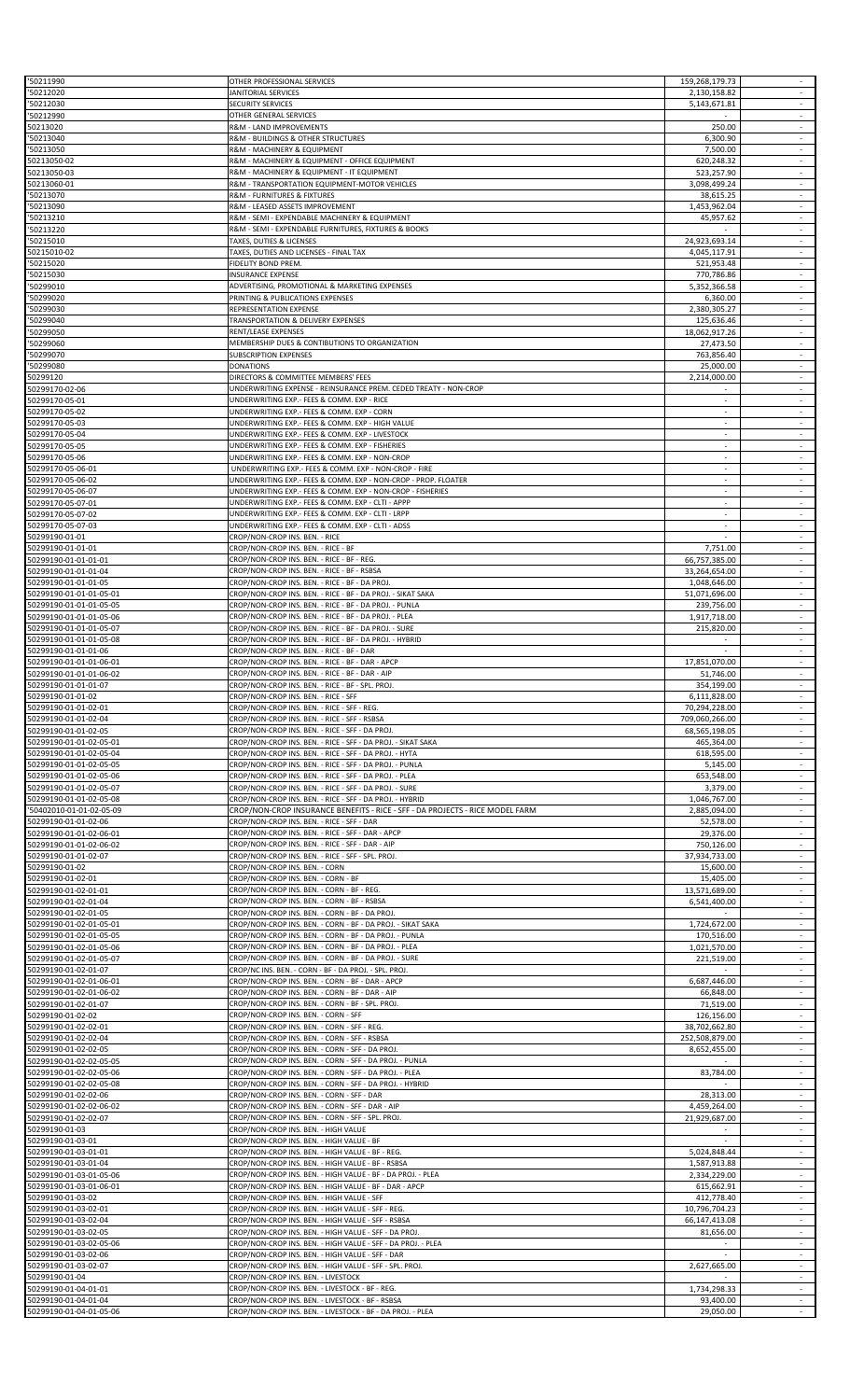| 50211990                                           | OTHER PROFESSIONAL SERVICES                                                                                                 | 159,268,179.73                     |                                                      |
|----------------------------------------------------|-----------------------------------------------------------------------------------------------------------------------------|------------------------------------|------------------------------------------------------|
| 50212020<br>50212030                               | JANITORIAL SERVICES<br>SECURITY SERVICES                                                                                    | 2,130,158.82<br>5,143,671.81       | $\overline{\phantom{a}}$<br>$\sim$                   |
| 50212990                                           | OTHER GENERAL SERVICES                                                                                                      |                                    | $\sim$                                               |
| 50213020                                           | R&M - LAND IMPROVEMENTS                                                                                                     | 250.00                             | $\overline{\phantom{a}}$                             |
| 50213040                                           | R&M - BUILDINGS & OTHER STRUCTURES                                                                                          | 6,300.90                           | $\omega$                                             |
| 50213050<br>50213050-02                            | R&M - MACHINERY & EQUIPMENT<br>R&M - MACHINERY & EQUIPMENT - OFFICE EQUIPMENT                                               | 7,500.00<br>620,248.32             | $\overline{\phantom{a}}$<br>$\sim$                   |
| 50213050-03                                        | R&M - MACHINERY & EQUIPMENT - IT EQUIPMENT                                                                                  | 523,257.90                         |                                                      |
| 50213060-01                                        | R&M - TRANSPORTATION EQUIPMENT-MOTOR VEHICLES                                                                               | 3,098,499.24                       | ÷                                                    |
| 50213070<br>50213090                               | R&M - FURNITURES & FIXTURES<br>R&M - LEASED ASSETS IMPROVEMENT                                                              | 38,615.25<br>1,453,962.04          | $\blacksquare$<br>$\sim$                             |
| 50213210                                           | R&M - SEMI - EXPENDABLE MACHINERY & EQUIPMENT                                                                               | 45,957.62                          |                                                      |
| 50213220                                           | R&M - SEMI - EXPENDABLE FURNITURES, FIXTURES & BOOKS                                                                        |                                    | ÷                                                    |
| 50215010<br>50215010-02                            | TAXES, DUTIES & LICENSES<br>TAXES, DUTIES AND LICENSES - FINAL TAX                                                          | 24,923,693.14<br>4,045,117.91      | $\overline{\phantom{a}}$<br>$\overline{\phantom{a}}$ |
| 50215020                                           | FIDELITY BOND PREM.                                                                                                         | 521,953.48                         | ÷                                                    |
| 50215030                                           | <b>INSURANCE EXPENSE</b>                                                                                                    | 770,786.86                         | $\overline{\phantom{a}}$                             |
| 50299010                                           | ADVERTISING, PROMOTIONAL & MARKETING EXPENSES                                                                               | 5,352,366.58                       | $\sim$                                               |
| 50299020<br>50299030                               | PRINTING & PUBLICATIONS EXPENSES<br>REPRESENTATION EXPENSE                                                                  | 6,360.00<br>2,380,305.27           | $\blacksquare$<br>$\overline{\phantom{a}}$           |
| 50299040                                           | TRANSPORTATION & DELIVERY EXPENSES                                                                                          | 125,636.46                         | $\sim$                                               |
| 50299050                                           | RENT/LEASE EXPENSES                                                                                                         | 18,062,917.26                      | $\sim$                                               |
| 50299060<br>50299070                               | MEMBERSHIP DUES & CONTIBUTIONS TO ORGANIZATION<br>SUBSCRIPTION EXPENSES                                                     | 27,473.50<br>763,856.40            | $\omega$                                             |
| 50299080                                           | <b>DONATIONS</b>                                                                                                            | 25,000.00                          | $\overline{\phantom{a}}$                             |
| 50299120                                           | DIRECTORS & COMMITTEE MEMBERS' FEES                                                                                         | 2,214,000.00                       | $\sim$                                               |
| 50299170-02-06                                     | UNDERWRITING EXPENSE - REINSURANCE PREM. CEDED TREATY - NON-CROP                                                            |                                    |                                                      |
| 50299170-05-01<br>50299170-05-02                   | UNDERWRITING EXP.- FEES & COMM. EXP - RICE<br>UNDERWRITING EXP.- FEES & COMM. EXP - CORN                                    | ÷.<br>$\overline{\phantom{a}}$     | ÷<br>$\overline{\phantom{a}}$                        |
| 50299170-05-03                                     | UNDERWRITING EXP.- FEES & COMM. EXP - HIGH VALUE                                                                            |                                    | $\sim$                                               |
| 50299170-05-04                                     | UNDERWRITING EXP.- FEES & COMM. EXP - LIVESTOCK                                                                             | ÷.                                 | $\overline{\phantom{a}}$                             |
| 50299170-05-05<br>50299170-05-06                   | UNDERWRITING EXP.- FEES & COMM. EXP - FISHERIES<br>UNDERWRITING EXP.- FEES & COMM. EXP - NON-CROP                           | $\sim$<br>$\overline{\phantom{a}}$ | $\overline{\phantom{a}}$<br>$\overline{\phantom{a}}$ |
| 50299170-05-06-01                                  | UNDERWRITING EXP.- FEES & COMM. EXP - NON-CROP - FIRE                                                                       |                                    | $\overline{\phantom{a}}$                             |
| 50299170-05-06-02                                  | UNDERWRITING EXP.- FEES & COMM. EXP - NON-CROP - PROP. FLOATER                                                              |                                    | ÷                                                    |
| 50299170-05-06-07                                  | UNDERWRITING EXP.- FEES & COMM. EXP - NON-CROP - FISHERIES                                                                  | ÷.                                 | ÷                                                    |
| 50299170-05-07-01<br>50299170-05-07-02             | UNDERWRITING EXP.- FEES & COMM. EXP - CLTI - APPP<br>UNDERWRITING EXP.- FEES & COMM. EXP - CLTI - LRPP                      | $\sim$                             | $\sim$                                               |
| 50299170-05-07-03                                  | UNDERWRITING EXP.- FEES & COMM. EXP - CLTI - ADSS                                                                           | ÷.                                 | ÷                                                    |
| 50299190-01-01                                     | CROP/NON-CROP INS. BEN. - RICE                                                                                              |                                    | $\overline{\phantom{a}}$                             |
| 50299190-01-01-01                                  | CROP/NON-CROP INS. BEN. - RICE - BF                                                                                         | 7,751.00                           | $\sim$                                               |
| 50299190-01-01-01-01<br>50299190-01-01-01-04       | CROP/NON-CROP INS. BEN. - RICE - BF - REG<br>CROP/NON-CROP INS. BEN. - RICE - BF - RSBSA                                    | 66,757,385.00<br>33,264,654.00     | $\omega$                                             |
| 50299190-01-01-01-05                               | CROP/NON-CROP INS. BEN. - RICE - BF - DA PROJ                                                                               | 1,048,646.00                       | $\overline{\phantom{a}}$                             |
| 50299190-01-01-01-05-01                            | CROP/NON-CROP INS. BEN. - RICE - BF - DA PROJ. - SIKAT SAKA                                                                 | 51,071,696.00                      | $\overline{\phantom{a}}$                             |
| 50299190-01-01-01-05-05<br>50299190-01-01-01-05-06 | CROP/NON-CROP INS. BEN. - RICE - BF - DA PROJ. - PUNLA<br>CROP/NON-CROP INS. BEN. - RICE - BF - DA PROJ. - PLEA             | 239,756.00<br>1,917,718.00         | ÷<br>$\overline{\phantom{a}}$                        |
| 50299190-01-01-01-05-07                            | CROP/NON-CROP INS. BEN. - RICE - BF - DA PROJ. - SURE                                                                       | 215,820.00                         | $\sim$                                               |
| 50299190-01-01-01-05-08                            | CROP/NON-CROP INS. BEN. - RICE - BF - DA PROJ. - HYBRID                                                                     |                                    | $\overline{\phantom{a}}$                             |
| 50299190-01-01-01-06                               | CROP/NON-CROP INS. BEN. - RICE - BF - DAR                                                                                   |                                    | $\overline{\phantom{a}}$                             |
| 50299190-01-01-01-06-01<br>50299190-01-01-01-06-02 | CROP/NON-CROP INS. BEN. - RICE - BF - DAR - APCP<br>CROP/NON-CROP INS. BEN. - RICE - BF - DAR - AIP                         | 17,851,070.00<br>51,746.00         | $\sim$<br>$\sim$                                     |
| 50299190-01-01-01-07                               | CROP/NON-CROP INS. BEN. - RICE - BF - SPL. PROJ.                                                                            | 354,199.00                         | $\blacksquare$                                       |
| 50299190-01-01-02                                  | CROP/NON-CROP INS. BEN. - RICE - SFF                                                                                        | 6,111,828.00                       |                                                      |
| 50299190-01-01-02-01<br>50299190-01-01-02-04       | CROP/NON-CROP INS. BEN. - RICE - SFF - REG.<br>CROP/NON-CROP INS. BEN. - RICE - SFF - RSBSA                                 | 70,294,228.00<br>709,060,266.00    | $\sim$                                               |
| 50299190-01-01-02-05                               | CROP/NON-CROP INS. BEN. - RICE - SFF - DA PROJ                                                                              | 68,565,198.05                      |                                                      |
| 50299190-01-01-02-05-01                            | CROP/NON-CROP INS. BEN. - RICE - SFF - DA PROJ. - SIKAT SAKA                                                                | 465,364.00                         | ÷                                                    |
| 50299190-01-01-02-05-04<br>50299190-01-01-02-05-05 | CROP/NON-CROP INS. BEN. - RICE - SFF - DA PROJ. - HYTA<br>CROP/NON-CROP INS. BEN. - RICE - SFF - DA PROJ. - PUNLA           | 618,595.00<br>5,145.00             | $\sim$<br>$\sim$                                     |
| 50299190-01-01-02-05-06                            | CROP/NON-CROP INS. BEN. - RICE - SFF - DA PROJ. - PLEA                                                                      | 653,548.00                         | ÷,                                                   |
| 50299190-01-01-02-05-07                            | CROP/NON-CROP INS. BEN. - RICE - SFF - DA PROJ. - SURE                                                                      | 3,379.00                           | $\sim$                                               |
| 50299190-01-01-02-05-08                            | CROP/NON-CROP INS. BEN. - RICE - SFF - DA PROJ. - HYBRID                                                                    | 1,046,767.00                       | $\overline{\phantom{a}}$                             |
| 50402010-01-01-02-05-09<br>50299190-01-01-02-06    | CROP/NON-CROP INSURANCE BENEFITS - RICE - SFF - DA PROJECTS - RICE MODEL FARM<br>CROP/NON-CROP INS. BEN. - RICE - SFF - DAR | 2,885,094.00<br>52,578.00          | $\overline{\phantom{a}}$<br>÷,                       |
| 50299190-01-01-02-06-01                            | CROP/NON-CROP INS. BEN. - RICE - SFF - DAR - APCP                                                                           | 29,376.00                          | $\overline{\phantom{a}}$                             |
| 50299190-01-01-02-06-02                            | CROP/NON-CROP INS. BEN. - RICE - SFF - DAR - AIP                                                                            | 750,126.00                         | $\sim$                                               |
| 50299190-01-01-02-07<br>50299190-01-02             | CROP/NON-CROP INS. BEN. - RICE - SFF - SPL. PROJ.<br>CROP/NON-CROP INS. BEN. - CORN                                         | 37,934,733.00<br>15,600.00         | ÷,<br>÷                                              |
| 50299190-01-02-01                                  | CROP/NON-CROP INS. BEN. - CORN - BF                                                                                         | 15,405.00                          | $\sim$                                               |
| 50299190-01-02-01-01                               | CROP/NON-CROP INS. BEN. - CORN - BF - REG.                                                                                  | 13,571,689.00                      | $\sim$                                               |
| 50299190-01-02-01-04                               | CROP/NON-CROP INS. BEN. - CORN - BF - RSBSA                                                                                 | 6,541,400.00                       |                                                      |
| 50299190-01-02-01-05<br>50299190-01-02-01-05-01    | CROP/NON-CROP INS. BEN. - CORN - BF - DA PROJ.<br>CROP/NON-CROP INS. BEN. - CORN - BF - DA PROJ. - SIKAT SAKA               | 1,724,672.00                       | ÷                                                    |
| 50299190-01-02-01-05-05                            | CROP/NON-CROP INS. BEN. - CORN - BF - DA PROJ. - PUNLA                                                                      | 170,516.00                         | $\sim$                                               |
| 50299190-01-02-01-05-06                            | CROP/NON-CROP INS. BEN. - CORN - BF - DA PROJ. - PLEA                                                                       | 1,021,570.00                       |                                                      |
| 50299190-01-02-01-05-07<br>50299190-01-02-01-07    | CROP/NON-CROP INS. BEN. - CORN - BF - DA PROJ. - SURE<br>CROP/NC INS. BEN. - CORN - BF - DA PROJ. - SPL. PROJ.              | 221,519.00                         | $\overline{\phantom{a}}$<br>$\sim$                   |
| 50299190-01-02-01-06-01                            | CROP/NON-CROP INS. BEN. - CORN - BF - DAR - APCP                                                                            | 6,687,446.00                       | $\blacksquare$                                       |
| 50299190-01-02-01-06-02                            | CROP/NON-CROP INS. BEN. - CORN - BF - DAR - AIP                                                                             | 66,848.00                          | ÷,                                                   |
| 50299190-01-02-01-07                               | CROP/NON-CROP INS. BEN. - CORN - BF - SPL. PROJ.                                                                            | 71,519.00                          | $\sim$                                               |
| 50299190-01-02-02<br>50299190-01-02-02-01          | CROP/NON-CROP INS. BEN. - CORN - SFF<br>CROP/NON-CROP INS. BEN. - CORN - SFF - REG.                                         | 126,156.00<br>38,702,662.80        | $\overline{\phantom{a}}$                             |
| 50299190-01-02-02-04                               | CROP/NON-CROP INS. BEN. - CORN - SFF - RSBSA                                                                                | 252,508,879.00                     | $\overline{\phantom{a}}$                             |
| 50299190-01-02-02-05                               | CROP/NON-CROP INS. BEN. - CORN - SFF - DA PROJ.                                                                             | 8,652,455.00                       |                                                      |
| 50299190-01-02-02-05-05<br>50299190-01-02-02-05-06 | CROP/NON-CROP INS. BEN. - CORN - SFF - DA PROJ. - PUNLA<br>CROP/NON-CROP INS. BEN. - CORN - SFF - DA PROJ. - PLEA           | 83,784.00                          | $\sim$                                               |
| 50299190-01-02-02-05-08                            | CROP/NON-CROP INS. BEN. - CORN - SFF - DA PROJ. - HYBRID                                                                    |                                    | ÷                                                    |
| 50299190-01-02-02-06                               | CROP/NON-CROP INS. BEN. - CORN - SFF - DAR                                                                                  | 28,313.00                          | $\sim$                                               |
| 50299190-01-02-02-06-02<br>50299190-01-02-02-07    | CROP/NON-CROP INS. BEN. - CORN - SFF - DAR - AIP<br>CROP/NON-CROP INS. BEN. - CORN - SFF - SPL. PROJ.                       | 4,459,264.00<br>21,929,687.00      | $\sim$                                               |
| 50299190-01-03                                     | CROP/NON-CROP INS. BEN. - HIGH VALUE                                                                                        |                                    | $\sim$                                               |
| 50299190-01-03-01                                  | CROP/NON-CROP INS. BEN. - HIGH VALUE - BF                                                                                   |                                    | $\overline{\phantom{a}}$                             |
| 50299190-01-03-01-01                               | CROP/NON-CROP INS. BEN. - HIGH VALUE - BF - REG.                                                                            | 5,024,848.44                       | $\overline{\phantom{a}}$                             |
| 50299190-01-03-01-04<br>50299190-01-03-01-05-06    | CROP/NON-CROP INS. BEN. - HIGH VALUE - BF - RSBSA<br>CROP/NON-CROP INS. BEN. - HIGH VALUE - BF - DA PROJ. - PLEA            | 1,587,913.88<br>2,334,229.00       | $\overline{\phantom{a}}$<br>$\overline{\phantom{a}}$ |
| 50299190-01-03-01-06-01                            | CROP/NON-CROP INS. BEN. - HIGH VALUE - BF - DAR - APCP                                                                      | 615,662.91                         | $\sim$                                               |
| 50299190-01-03-02                                  | CROP/NON-CROP INS. BEN. - HIGH VALUE - SFF                                                                                  | 412,778.40                         | $\overline{\phantom{a}}$                             |
| 50299190-01-03-02-01<br>50299190-01-03-02-04       | CROP/NON-CROP INS. BEN. - HIGH VALUE - SFF - REG.                                                                           | 10,796,704.23                      | $\omega$<br>$\overline{\phantom{a}}$                 |
| 50299190-01-03-02-05                               | CROP/NON-CROP INS. BEN. - HIGH VALUE - SFF - RSBSA<br>CROP/NON-CROP INS. BEN. - HIGH VALUE - SFF - DA PROJ.                 | 66,147,413.08<br>81,656.00         | $\sim$                                               |
| 50299190-01-03-02-05-06                            | CROP/NON-CROP INS. BEN. - HIGH VALUE - SFF - DA PROJ. - PLEA                                                                |                                    |                                                      |
| 50299190-01-03-02-06                               | CROP/NON-CROP INS. BEN. - HIGH VALUE - SFF - DAR                                                                            |                                    | ÷                                                    |
| 50299190-01-03-02-07<br>50299190-01-04             | CROP/NON-CROP INS. BEN. - HIGH VALUE - SFF - SPL. PROJ.<br>CROP/NON-CROP INS. BEN. - LIVESTOCK                              | 2,627,665.00                       | $\sim$                                               |
| 50299190-01-04-01-01                               | CROP/NON-CROP INS. BEN. - LIVESTOCK - BF - REG.                                                                             | 1,734,298.33                       |                                                      |
| 50299190-01-04-01-04                               | CROP/NON-CROP INS. BEN. - LIVESTOCK - BF - RSBSA                                                                            | 93,400.00                          | $\overline{\phantom{a}}$                             |
| 50299190-01-04-01-05-06                            | CROP/NON-CROP INS. BEN. - LIVESTOCK - BF - DA PROJ. - PLEA                                                                  | 29,050.00                          | $\sim$                                               |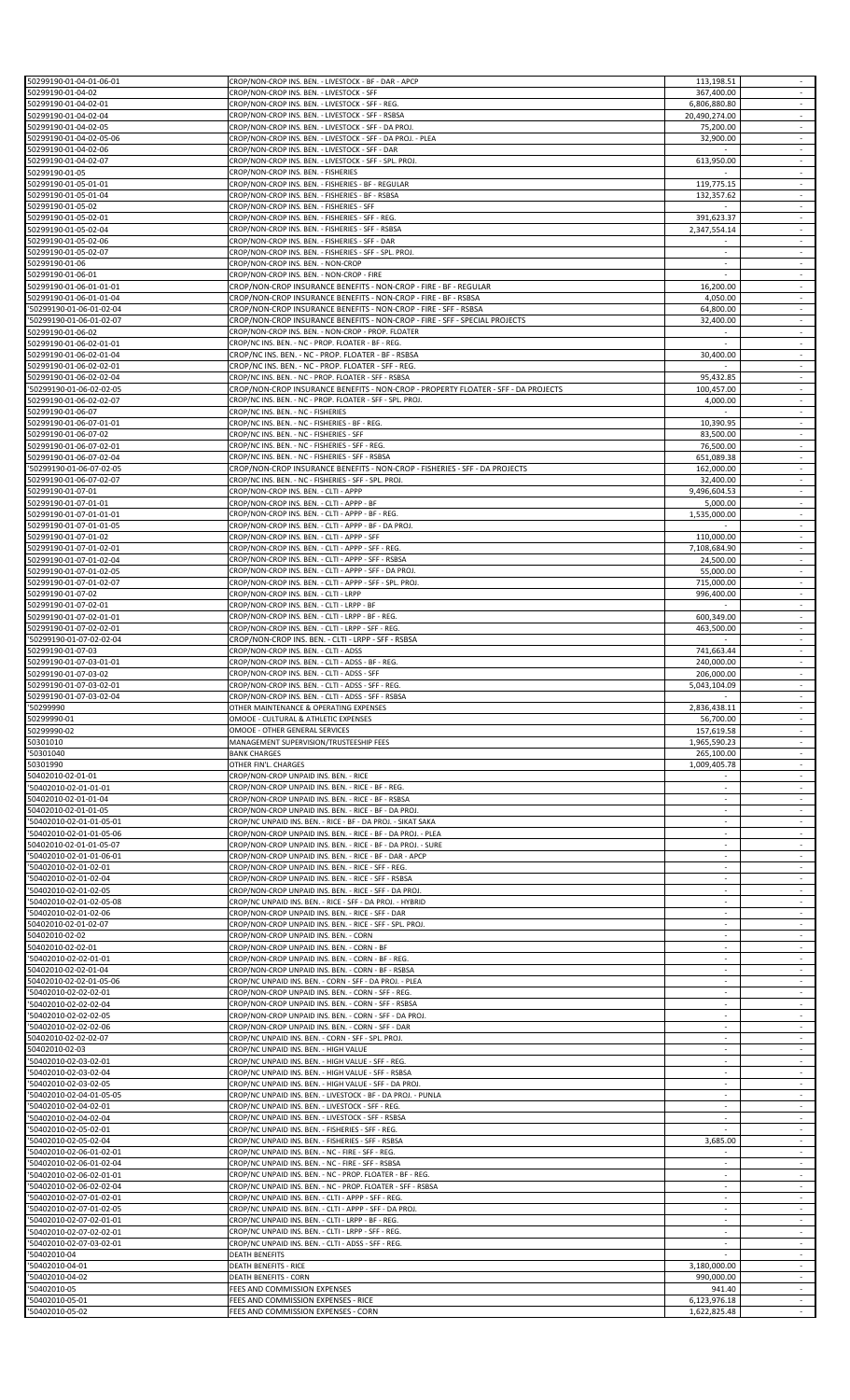| 50299190-01-04-01-06-01                              | CROP/NON-CROP INS. BEN. - LIVESTOCK - BF - DAR - APCP                                                                                      | 113,198.51                    |                                       |
|------------------------------------------------------|--------------------------------------------------------------------------------------------------------------------------------------------|-------------------------------|---------------------------------------|
| 50299190-01-04-02                                    | CROP/NON-CROP INS. BEN. - LIVESTOCK - SFF                                                                                                  | 367,400.00                    |                                       |
| 50299190-01-04-02-01<br>50299190-01-04-02-04         | CROP/NON-CROP INS. BEN. - LIVESTOCK - SFF - REG.<br>CROP/NON-CROP INS. BEN. - LIVESTOCK - SFF - RSBSA                                      | 6,806,880.80<br>20,490,274.00 | $\sim$<br>$\sim$                      |
| 50299190-01-04-02-05                                 | CROP/NON-CROP INS. BEN. - LIVESTOCK - SFF - DA PROJ.                                                                                       | 75,200.00                     | $\sim$                                |
| 50299190-01-04-02-05-06                              | CROP/NON-CROP INS. BEN. - LIVESTOCK - SFF - DA PROJ. - PLEA                                                                                | 32,900.00                     | $\omega$                              |
| 50299190-01-04-02-06                                 | CROP/NON-CROP INS. BEN. - LIVESTOCK - SFF - DAR                                                                                            |                               | $\sim$<br>$\sim$                      |
| 50299190-01-04-02-07<br>50299190-01-05               | CROP/NON-CROP INS. BEN. - LIVESTOCK - SFF - SPL. PROJ.<br>CROP/NON-CROP INS. BEN. - FISHERIES                                              | 613,950.00                    |                                       |
| 50299190-01-05-01-01                                 | CROP/NON-CROP INS. BEN. - FISHERIES - BF - REGULAR                                                                                         | 119,775.15                    | $\sim$                                |
| 50299190-01-05-01-04                                 | CROP/NON-CROP INS. BEN. - FISHERIES - BF - RSBSA                                                                                           | 132,357.62                    | $\overline{\phantom{a}}$              |
| 50299190-01-05-02                                    | CROP/NON-CROP INS. BEN. - FISHERIES - SFF<br>CROP/NON-CROP INS. BEN. - FISHERIES - SFF - REG.                                              |                               | $\sim$                                |
| 50299190-01-05-02-01<br>50299190-01-05-02-04         | CROP/NON-CROP INS. BEN. - FISHERIES - SFF - RSBSA                                                                                          | 391,623.37<br>2,347,554.14    | $\sim$                                |
| 50299190-01-05-02-06                                 | CROP/NON-CROP INS. BEN. - FISHERIES - SFF - DAR                                                                                            |                               | $\overline{\phantom{a}}$              |
| 50299190-01-05-02-07                                 | CROP/NON-CROP INS. BEN. - FISHERIES - SFF - SPL. PROJ.                                                                                     | $\sim$                        | $\sim$                                |
| 50299190-01-06<br>50299190-01-06-01                  | CROP/NON-CROP INS. BEN. - NON-CROP<br>CROP/NON-CROP INS. BEN. - NON-CROP - FIRE                                                            | ÷<br>×                        | $\sim$<br>$\sim$                      |
| 50299190-01-06-01-01-01                              | CROP/NON-CROP INSURANCE BENEFITS - NON-CROP - FIRE - BF - REGULAR                                                                          | 16,200.00                     | $\sim$                                |
| 50299190-01-06-01-01-04                              | CROP/NON-CROP INSURANCE BENEFITS - NON-CROP - FIRE - BF - RSBSA                                                                            | 4,050.00                      | $\overline{\phantom{a}}$              |
| '50299190-01-06-01-02-04                             | CROP/NON-CROP INSURANCE BENEFITS - NON-CROP - FIRE - SFF - RSBSA                                                                           | 64,800.00                     | $\mathcal{L}_{\mathcal{A}}$           |
| '50299190-01-06-01-02-07<br>50299190-01-06-02        | CROP/NON-CROP INSURANCE BENEFITS - NON-CROP - FIRE - SFF - SPECIAL PROJECTS<br>CROP/NON-CROP INS. BEN. - NON-CROP - PROP. FLOATER          | 32,400.00                     | $\sim$<br>$\sim$                      |
| 50299190-01-06-02-01-01                              | CROP/NC INS. BEN. - NC - PROP. FLOATER - BF - REG.                                                                                         |                               |                                       |
| 50299190-01-06-02-01-04                              | CROP/NC INS. BEN. - NC - PROP. FLOATER - BF - RSBSA                                                                                        | 30,400.00                     | $\sim$                                |
| 50299190-01-06-02-02-01                              | CROP/NC INS. BEN. - NC - PROP. FLOATER - SFF - REG.                                                                                        |                               | $\overline{\phantom{a}}$              |
| 50299190-01-06-02-02-04<br>'50299190-01-06-02-02-05  | CROP/NC INS. BEN. - NC - PROP. FLOATER - SFF - RSBSA<br>CROP/NON-CROP INSURANCE BENEFITS - NON-CROP - PROPERTY FLOATER - SFF - DA PROJECTS | 95,432.85<br>100,457.00       | $\sim$                                |
| 50299190-01-06-02-02-07                              | CROP/NC INS. BEN. - NC - PROP. FLOATER - SFF - SPL. PROJ.                                                                                  | 4,000.00                      | $\sim$                                |
| 50299190-01-06-07                                    | CROP/NC INS. BEN. - NC - FISHERIES                                                                                                         | $\sim$                        | $\sim$                                |
| 50299190-01-06-07-01-01                              | CROP/NC INS. BEN. - NC - FISHERIES - BF - REG.                                                                                             | 10,390.95                     | $\sim$                                |
| 50299190-01-06-07-02<br>50299190-01-06-07-02-01      | CROP/NC INS. BEN. - NC - FISHERIES - SFF<br>CROP/NC INS. BEN. - NC - FISHERIES - SFF - REG.                                                | 83,500.00<br>76,500.00        | $\mathcal{L}_{\mathcal{A}}$<br>$\sim$ |
| 50299190-01-06-07-02-04                              | CROP/NC INS. BEN. - NC - FISHERIES - SFF - RSBSA                                                                                           | 651,089.38                    | $\sim$                                |
| '50299190-01-06-07-02-05                             | CROP/NON-CROP INSURANCE BENEFITS - NON-CROP - FISHERIES - SFF - DA PROJECTS                                                                | 162,000.00                    | $\sim$                                |
| 50299190-01-06-07-02-07                              | CROP/NC INS. BEN. - NC - FISHERIES - SFF - SPL. PROJ.                                                                                      | 32,400.00                     | $\sim$<br>$\sim$                      |
| 50299190-01-07-01<br>50299190-01-07-01-01            | CROP/NON-CROP INS. BEN. - CLTI - APPP<br>CROP/NON-CROP INS. BEN. - CLTI - APPP - BF                                                        | 9,496,604.53<br>5,000.00      | $\sim$                                |
| 50299190-01-07-01-01-01                              | CROP/NON-CROP INS. BEN. - CLTI - APPP - BF - REG.                                                                                          | 1,535,000.00                  |                                       |
| 50299190-01-07-01-01-05                              | CROP/NON-CROP INS. BEN. - CLTI - APPP - BF - DA PROJ.                                                                                      |                               | $\sim$                                |
| 50299190-01-07-01-02<br>50299190-01-07-01-02-01      | CROP/NON-CROP INS. BEN. - CLTI - APPP - SFF<br>CROP/NON-CROP INS. BEN. - CLTI - APPP - SFF - REG.                                          | 110,000.00<br>7,108,684.90    | $\sim$<br>$\sim$                      |
| 50299190-01-07-01-02-04                              | CROP/NON-CROP INS. BEN. - CLTI - APPP - SFF - RSBSA                                                                                        | 24,500.00                     |                                       |
| 50299190-01-07-01-02-05                              | CROP/NON-CROP INS. BEN. - CLTI - APPP - SFF - DA PROJ.                                                                                     | 55,000.00                     | $\sim$                                |
| 50299190-01-07-01-02-07                              | CROP/NON-CROP INS. BEN. - CLTI - APPP - SFF - SPL. PROJ.                                                                                   | 715,000.00                    | $\overline{\phantom{a}}$              |
| 50299190-01-07-02<br>50299190-01-07-02-01            | CROP/NON-CROP INS. BEN. - CLTI - LRPP<br>CROP/NON-CROP INS. BEN. - CLTI - LRPP - BF                                                        | 996,400.00                    | $\sim$<br>$\sim$                      |
| 50299190-01-07-02-01-01                              | CROP/NON-CROP INS. BEN. - CLTI - LRPP - BF - REG.                                                                                          | 600,349.00                    | $\sim$                                |
| 50299190-01-07-02-02-01                              | CROP/NON-CROP INS. BEN. - CLTI - LRPP - SFF - REG.                                                                                         | 463,500.00                    | $\sim$                                |
| '50299190-01-07-02-02-04                             | CROP/NON-CROP INS. BEN. - CLTI - LRPP - SFF - RSBSA                                                                                        |                               |                                       |
| 50299190-01-07-03<br>50299190-01-07-03-01-01         | CROP/NON-CROP INS. BEN. - CLTI - ADSS<br>CROP/NON-CROP INS. BEN. - CLTI - ADSS - BF - REG.                                                 | 741,663.44<br>240,000.00      | $\sim$<br>$\sim$                      |
| 50299190-01-07-03-02                                 | CROP/NON-CROP INS. BEN. - CLTI - ADSS - SFF                                                                                                | 206,000.00                    | $\sim$                                |
| 50299190-01-07-03-02-01                              | CROP/NON-CROP INS. BEN. - CLTI - ADSS - SFF - REG.                                                                                         | 5,043,104.09                  | $\overline{\phantom{a}}$              |
| 50299190-01-07-03-02-04<br>'50299990                 | CROP/NON-CROP INS. BEN. - CLTI - ADSS - SFF - RSBSA<br>OTHER MAINTENANCE & OPERATING EXPENSES                                              | 2,836,438.11                  |                                       |
| 50299990-01                                          | OMOOE - CULTURAL & ATHLETIC EXPENSES                                                                                                       | 56,700.00                     | $\sim$                                |
| 50299990-02                                          | OMOOE - OTHER GENERAL SERVICES                                                                                                             | 157,619.58                    |                                       |
| 50301010                                             | MANAGEMENT SUPERVISION/TRUSTEESHIP FEES<br><b>BANK CHARGES</b>                                                                             | 1,965,590.23                  | $\sim$<br>$\overline{\phantom{a}}$    |
| '50301040<br>50301990                                | OTHER FIN'L. CHARGES                                                                                                                       | 265,100.00<br>1,009,405.78    | $\sim$                                |
| 50402010-02-01-01                                    | CROP/NON-CROP UNPAID INS. BEN. - RICE                                                                                                      |                               | $\omega$                              |
| '50402010-02-01-01-01                                | CROP/NON-CROP UNPAID INS. BEN. - RICE - BF - REG.                                                                                          | $\sim$                        | $\sim$                                |
| 50402010-02-01-01-04<br>50402010-02-01-01-05         | CROP/NON-CROP UNPAID INS. BEN. - RICE - BF - RSBSA<br>CROP/NON-CROP UNPAID INS. BEN. - RICE - BF - DA PROJ.                                | $\sim$                        | $\sim$                                |
| '50402010-02-01-01-05-01                             | CROP/NC UNPAID INS. BEN. - RICE - BF - DA PROJ. - SIKAT SAKA                                                                               |                               |                                       |
| '50402010-02-01-01-05-06                             | CROP/NON-CROP UNPAID INS. BEN. - RICE - BF - DA PROJ. - PLEA                                                                               | $\sim$                        | $\sim$                                |
| 50402010-02-01-01-05-07                              | CROP/NON-CROP UNPAID INS. BEN. - RICE - BF - DA PROJ. - SURE                                                                               | $\sim$                        | $\sim$                                |
| '50402010-02-01-01-06-01<br>'50402010-02-01-02-01    | CROP/NON-CROP UNPAID INS. BEN. - RICE - BF - DAR - APCP<br>CROP/NON-CROP UNPAID INS. BEN. - RICE - SFF - REG.                              | $\sim$                        |                                       |
| '50402010-02-01-02-04                                | CROP/NON-CROP UNPAID INS. BEN. - RICE - SFF - RSBSA                                                                                        | $\overline{\phantom{a}}$      |                                       |
| '50402010-02-01-02-05                                | CROP/NON-CROP UNPAID INS. BEN. - RICE - SFF - DA PROJ.                                                                                     | $\sim$                        | $\sim$                                |
| '50402010-02-01-02-05-08                             | CROP/NC UNPAID INS. BEN. - RICE - SFF - DA PROJ. - HYBRID                                                                                  | $\sim$                        | $\sim$                                |
| '50402010-02-01-02-06<br>50402010-02-01-02-07        | CROP/NON-CROP UNPAID INS. BEN. - RICE - SFF - DAR<br>CROP/NON-CROP UNPAID INS. BEN. - RICE - SFF - SPL. PROJ.                              |                               |                                       |
| 50402010-02-02                                       | CROP/NON-CROP UNPAID INS. BEN. - CORN                                                                                                      | $\sim$                        | $\sim$                                |
| 50402010-02-02-01                                    | CROP/NON-CROP UNPAID INS. BEN. - CORN - BF                                                                                                 |                               |                                       |
| '50402010-02-02-01-01<br>50402010-02-02-01-04        | CROP/NON-CROP UNPAID INS. BEN. - CORN - BF - REG.<br>CROP/NON-CROP UNPAID INS. BEN. - CORN - BF - RSBSA                                    | $\sim$<br>$\sim$              | $\sim$<br>$\sim$                      |
| 50402010-02-02-01-05-06                              | CROP/NC UNPAID INS. BEN. - CORN - SFF - DA PROJ. - PLEA                                                                                    |                               |                                       |
| '50402010-02-02-02-01                                | CROP/NON-CROP UNPAID INS. BEN. - CORN - SFF - REG.                                                                                         | $\sim$                        | $\omega$                              |
| '50402010-02-02-02-04                                | CROP/NON-CROP UNPAID INS. BEN. - CORN - SFF - RSBSA                                                                                        | $\sim$<br>$\sim$              | $\sim$                                |
| '50402010-02-02-02-05<br>'50402010-02-02-02-06       | CROP/NON-CROP UNPAID INS. BEN. - CORN - SFF - DA PROJ.<br>CROP/NON-CROP UNPAID INS. BEN. - CORN - SFF - DAR                                |                               | $\sim$                                |
| 50402010-02-02-02-07                                 | CROP/NC UNPAID INS. BEN. - CORN - SFF - SPL. PROJ.                                                                                         | ×                             | $\sim$                                |
| 50402010-02-03                                       | CROP/NC UNPAID INS. BEN. - HIGH VALUE                                                                                                      |                               |                                       |
| '50402010-02-03-02-01<br>'50402010-02-03-02-04       | CROP/NC UNPAID INS. BEN. - HIGH VALUE - SFF - REG.<br>CROP/NC UNPAID INS. BEN. - HIGH VALUE - SFF - RSBSA                                  | $\sim$                        | $\sim$                                |
| '50402010-02-03-02-05                                | CROP/NC UNPAID INS. BEN. - HIGH VALUE - SFF - DA PROJ.                                                                                     | $\sim$                        |                                       |
| '50402010-02-04-01-05-05                             | CROP/NC UNPAID INS. BEN. - LIVESTOCK - BF - DA PROJ. - PUNLA                                                                               |                               |                                       |
| '50402010-02-04-02-01<br>'50402010-02-04-02-04       | CROP/NC UNPAID INS. BEN. - LIVESTOCK - SFF - REG.<br>CROP/NC UNPAID INS. BEN. - LIVESTOCK - SFF - RSBSA                                    | $\sim$<br>÷                   |                                       |
| '50402010-02-05-02-01                                | CROP/NC UNPAID INS. BEN. - FISHERIES - SFF - REG.                                                                                          | ×                             | $\sim$                                |
| '50402010-02-05-02-04                                | CROP/NC UNPAID INS. BEN. - FISHERIES - SFF - RSBSA                                                                                         | 3,685.00                      | $\sim$                                |
| '50402010-02-06-01-02-01                             | CROP/NC UNPAID INS. BEN. - NC - FIRE - SFF - REG.                                                                                          |                               |                                       |
| '50402010-02-06-01-02-04<br>'50402010-02-06-02-01-01 | CROP/NC UNPAID INS. BEN. - NC - FIRE - SFF - RSBSA<br>CROP/NC UNPAID INS. BEN. - NC - PROP. FLOATER - BF - REG.                            |                               | $\omega$<br>$\sim$                    |
| '50402010-02-06-02-02-04                             | CROP/NC UNPAID INS. BEN. - NC - PROP. FLOATER - SFF - RSBSA                                                                                | $\sim$                        | $\sim$                                |
| '50402010-02-07-01-02-01                             | CROP/NC UNPAID INS. BEN. - CLTI - APPP - SFF - REG.                                                                                        |                               |                                       |
| '50402010-02-07-01-02-05                             | CROP/NC UNPAID INS. BEN. - CLTI - APPP - SFF - DA PROJ.                                                                                    | $\sim$                        |                                       |
| '50402010-02-07-02-01-01<br>'50402010-02-07-02-02-01 | CROP/NC UNPAID INS. BEN. - CLTI - LRPP - BF - REG.<br>CROP/NC UNPAID INS. BEN. - CLTI - LRPP - SFF - REG.                                  |                               | $\sim$                                |
| '50402010-02-07-03-02-01                             | CROP/NC UNPAID INS. BEN. - CLTI - ADSS - SFF - REG.                                                                                        |                               |                                       |
| '50402010-04                                         | <b>DEATH BENEFITS</b>                                                                                                                      |                               | $\sim$                                |
| '50402010-04-01<br>'50402010-04-02                   | DEATH BENEFITS - RICE<br><b>DEATH BENEFITS - CORN</b>                                                                                      | 3,180,000.00<br>990,000.00    | $\sim$                                |
| '50402010-05                                         | FEES AND COMMISSION EXPENSES                                                                                                               | 941.40                        |                                       |
| '50402010-05-01                                      | FEES AND COMMISSION EXPENSES - RICE<br>FEES AND COMMISSION EXPENSES - CORN                                                                 | 6,123,976.18<br>1,622,825.48  | $\sim$<br>$\sim$                      |
| '50402010-05-02                                      |                                                                                                                                            |                               |                                       |